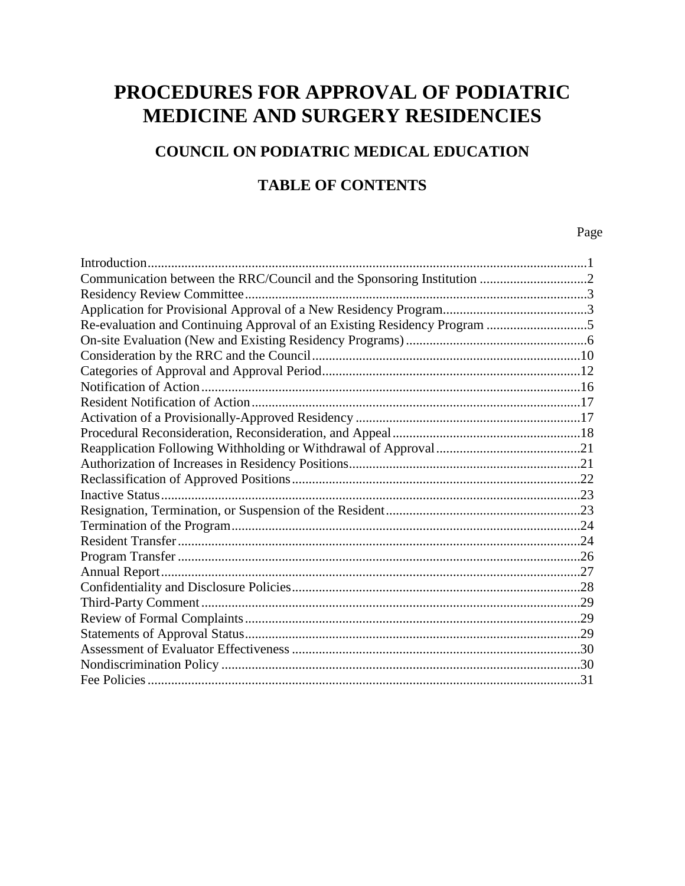# **PROCEDURES FOR APPROVAL OF PODIATRIC MEDICINE AND SURGERY RESIDENCIES**

## **COUNCIL ON PODIATRIC MEDICAL EDUCATION**

#### **TABLE OF CONTENTS**

Page **Page** 

| Communication between the RRC/Council and the Sponsoring Institution 2 |  |
|------------------------------------------------------------------------|--|
|                                                                        |  |
|                                                                        |  |
|                                                                        |  |
|                                                                        |  |
|                                                                        |  |
|                                                                        |  |
|                                                                        |  |
|                                                                        |  |
|                                                                        |  |
|                                                                        |  |
|                                                                        |  |
|                                                                        |  |
|                                                                        |  |
|                                                                        |  |
|                                                                        |  |
|                                                                        |  |
|                                                                        |  |
|                                                                        |  |
|                                                                        |  |
|                                                                        |  |
|                                                                        |  |
|                                                                        |  |
|                                                                        |  |
|                                                                        |  |
|                                                                        |  |
|                                                                        |  |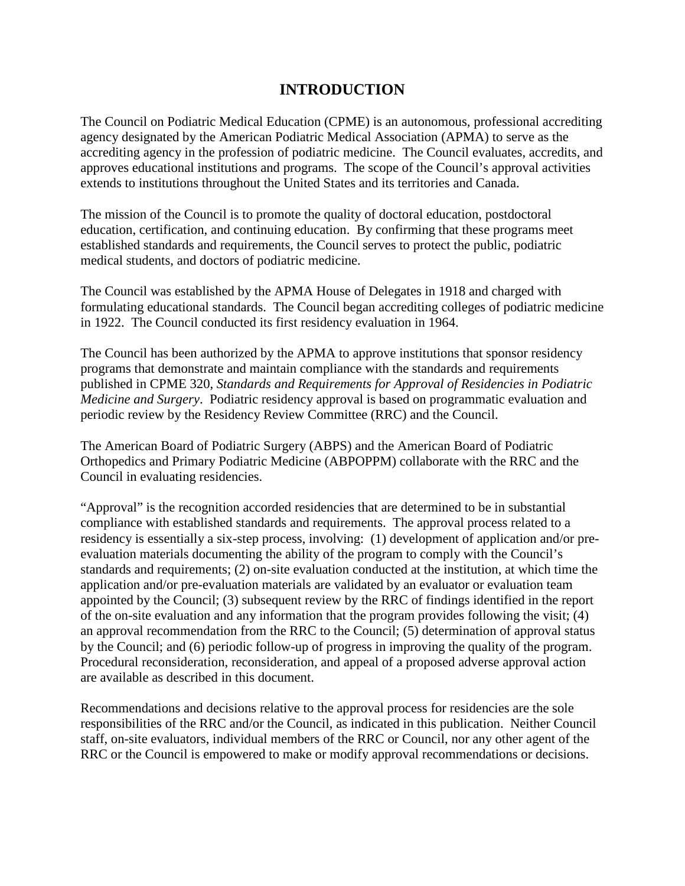#### **INTRODUCTION**

The Council on Podiatric Medical Education (CPME) is an autonomous, professional accrediting agency designated by the American Podiatric Medical Association (APMA) to serve as the accrediting agency in the profession of podiatric medicine. The Council evaluates, accredits, and approves educational institutions and programs. The scope of the Council's approval activities extends to institutions throughout the United States and its territories and Canada.

The mission of the Council is to promote the quality of doctoral education, postdoctoral education, certification, and continuing education. By confirming that these programs meet established standards and requirements, the Council serves to protect the public, podiatric medical students, and doctors of podiatric medicine.

The Council was established by the APMA House of Delegates in 1918 and charged with formulating educational standards. The Council began accrediting colleges of podiatric medicine in 1922. The Council conducted its first residency evaluation in 1964.

The Council has been authorized by the APMA to approve institutions that sponsor residency programs that demonstrate and maintain compliance with the standards and requirements published in CPME 320, *Standards and Requirements for Approval of Residencies in Podiatric Medicine and Surgery*. Podiatric residency approval is based on programmatic evaluation and periodic review by the Residency Review Committee (RRC) and the Council.

The American Board of Podiatric Surgery (ABPS) and the American Board of Podiatric Orthopedics and Primary Podiatric Medicine (ABPOPPM) collaborate with the RRC and the Council in evaluating residencies.

"Approval" is the recognition accorded residencies that are determined to be in substantial compliance with established standards and requirements. The approval process related to a residency is essentially a six-step process, involving: (1) development of application and/or preevaluation materials documenting the ability of the program to comply with the Council's standards and requirements; (2) on-site evaluation conducted at the institution, at which time the application and/or pre-evaluation materials are validated by an evaluator or evaluation team appointed by the Council; (3) subsequent review by the RRC of findings identified in the report of the on-site evaluation and any information that the program provides following the visit; (4) an approval recommendation from the RRC to the Council; (5) determination of approval status by the Council; and (6) periodic follow-up of progress in improving the quality of the program. Procedural reconsideration, reconsideration, and appeal of a proposed adverse approval action are available as described in this document.

Recommendations and decisions relative to the approval process for residencies are the sole responsibilities of the RRC and/or the Council, as indicated in this publication. Neither Council staff, on-site evaluators, individual members of the RRC or Council, nor any other agent of the RRC or the Council is empowered to make or modify approval recommendations or decisions.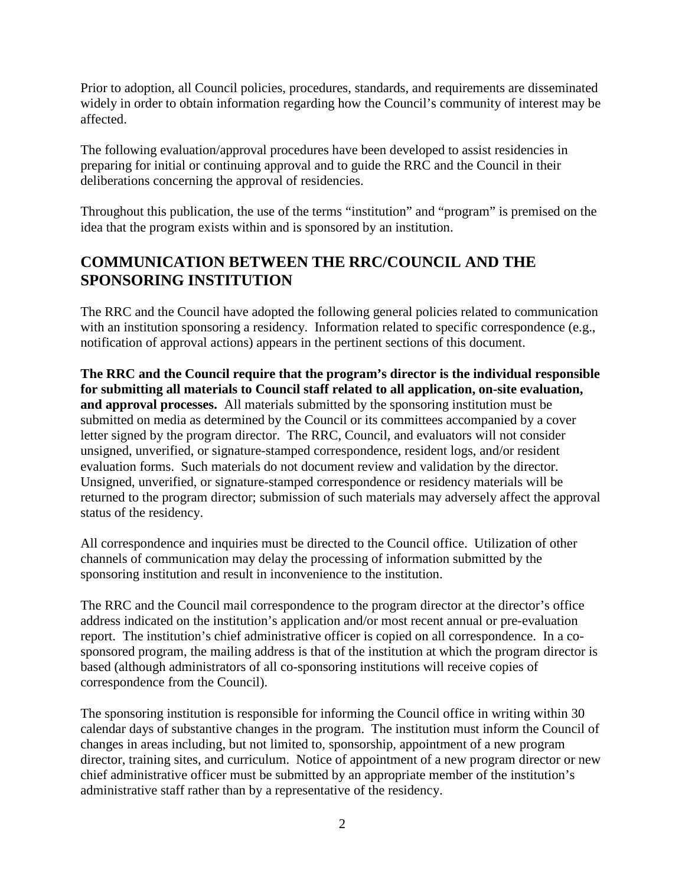Prior to adoption, all Council policies, procedures, standards, and requirements are disseminated widely in order to obtain information regarding how the Council's community of interest may be affected.

The following evaluation/approval procedures have been developed to assist residencies in preparing for initial or continuing approval and to guide the RRC and the Council in their deliberations concerning the approval of residencies.

Throughout this publication, the use of the terms "institution" and "program" is premised on the idea that the program exists within and is sponsored by an institution.

#### **COMMUNICATION BETWEEN THE RRC/COUNCIL AND THE SPONSORING INSTITUTION**

The RRC and the Council have adopted the following general policies related to communication with an institution sponsoring a residency. Information related to specific correspondence (e.g., notification of approval actions) appears in the pertinent sections of this document.

**The RRC and the Council require that the program's director is the individual responsible for submitting all materials to Council staff related to all application, on-site evaluation, and approval processes.** All materials submitted by the sponsoring institution must be submitted on media as determined by the Council or its committees accompanied by a cover letter signed by the program director. The RRC, Council, and evaluators will not consider unsigned, unverified, or signature-stamped correspondence, resident logs, and/or resident evaluation forms. Such materials do not document review and validation by the director. Unsigned, unverified, or signature-stamped correspondence or residency materials will be returned to the program director; submission of such materials may adversely affect the approval status of the residency.

All correspondence and inquiries must be directed to the Council office. Utilization of other channels of communication may delay the processing of information submitted by the sponsoring institution and result in inconvenience to the institution.

The RRC and the Council mail correspondence to the program director at the director's office address indicated on the institution's application and/or most recent annual or pre-evaluation report. The institution's chief administrative officer is copied on all correspondence. In a cosponsored program, the mailing address is that of the institution at which the program director is based (although administrators of all co-sponsoring institutions will receive copies of correspondence from the Council).

The sponsoring institution is responsible for informing the Council office in writing within 30 calendar days of substantive changes in the program. The institution must inform the Council of changes in areas including, but not limited to, sponsorship, appointment of a new program director, training sites, and curriculum. Notice of appointment of a new program director or new chief administrative officer must be submitted by an appropriate member of the institution's administrative staff rather than by a representative of the residency.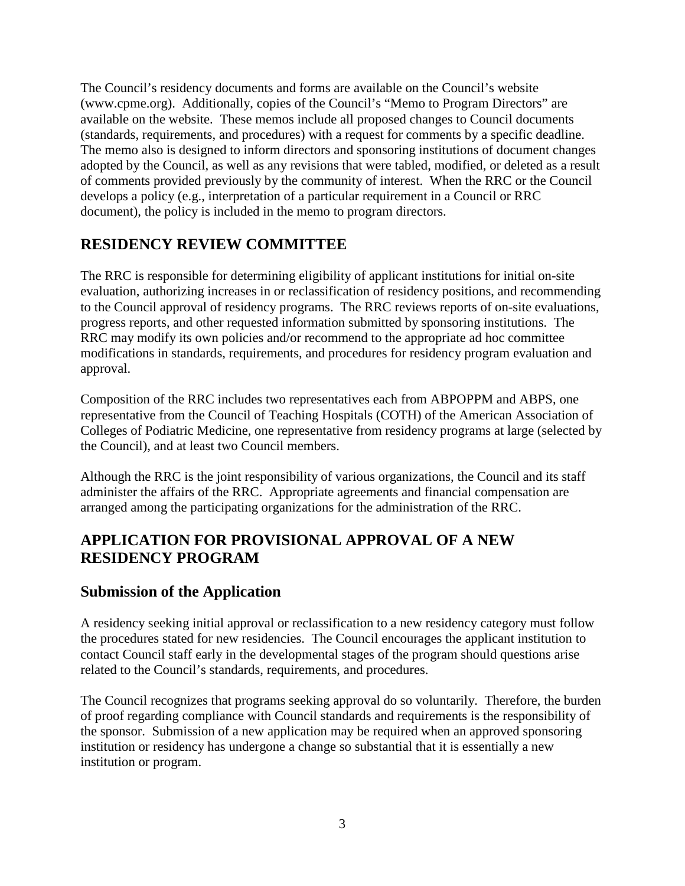The Council's residency documents and forms are available on the Council's website (www.cpme.org). Additionally, copies of the Council's "Memo to Program Directors" are available on the website. These memos include all proposed changes to Council documents (standards, requirements, and procedures) with a request for comments by a specific deadline. The memo also is designed to inform directors and sponsoring institutions of document changes adopted by the Council, as well as any revisions that were tabled, modified, or deleted as a result of comments provided previously by the community of interest. When the RRC or the Council develops a policy (e.g., interpretation of a particular requirement in a Council or RRC document), the policy is included in the memo to program directors.

#### **RESIDENCY REVIEW COMMITTEE**

The RRC is responsible for determining eligibility of applicant institutions for initial on-site evaluation, authorizing increases in or reclassification of residency positions, and recommending to the Council approval of residency programs. The RRC reviews reports of on-site evaluations, progress reports, and other requested information submitted by sponsoring institutions. The RRC may modify its own policies and/or recommend to the appropriate ad hoc committee modifications in standards, requirements, and procedures for residency program evaluation and approval.

Composition of the RRC includes two representatives each from ABPOPPM and ABPS, one representative from the Council of Teaching Hospitals (COTH) of the American Association of Colleges of Podiatric Medicine, one representative from residency programs at large (selected by the Council), and at least two Council members.

Although the RRC is the joint responsibility of various organizations, the Council and its staff administer the affairs of the RRC. Appropriate agreements and financial compensation are arranged among the participating organizations for the administration of the RRC.

#### **APPLICATION FOR PROVISIONAL APPROVAL OF A NEW RESIDENCY PROGRAM**

#### **Submission of the Application**

A residency seeking initial approval or reclassification to a new residency category must follow the procedures stated for new residencies. The Council encourages the applicant institution to contact Council staff early in the developmental stages of the program should questions arise related to the Council's standards, requirements, and procedures.

The Council recognizes that programs seeking approval do so voluntarily. Therefore, the burden of proof regarding compliance with Council standards and requirements is the responsibility of the sponsor. Submission of a new application may be required when an approved sponsoring institution or residency has undergone a change so substantial that it is essentially a new institution or program.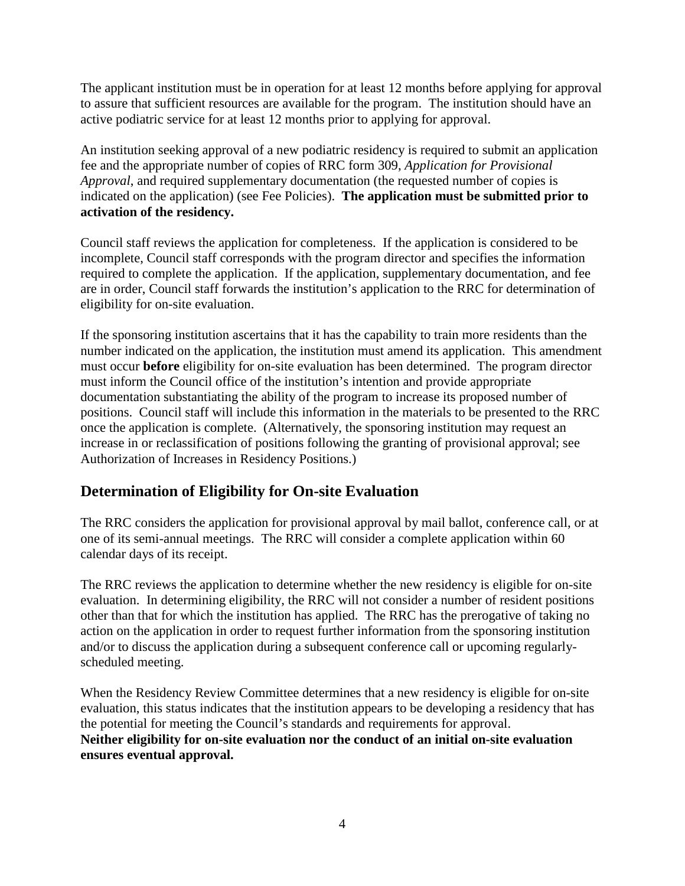The applicant institution must be in operation for at least 12 months before applying for approval to assure that sufficient resources are available for the program. The institution should have an active podiatric service for at least 12 months prior to applying for approval.

An institution seeking approval of a new podiatric residency is required to submit an application fee and the appropriate number of copies of RRC form 309, *Application for Provisional Approval*, and required supplementary documentation (the requested number of copies is indicated on the application) (see Fee Policies). **The application must be submitted prior to activation of the residency.**

Council staff reviews the application for completeness. If the application is considered to be incomplete, Council staff corresponds with the program director and specifies the information required to complete the application. If the application, supplementary documentation, and fee are in order, Council staff forwards the institution's application to the RRC for determination of eligibility for on-site evaluation.

If the sponsoring institution ascertains that it has the capability to train more residents than the number indicated on the application, the institution must amend its application. This amendment must occur **before** eligibility for on-site evaluation has been determined. The program director must inform the Council office of the institution's intention and provide appropriate documentation substantiating the ability of the program to increase its proposed number of positions. Council staff will include this information in the materials to be presented to the RRC once the application is complete. (Alternatively, the sponsoring institution may request an increase in or reclassification of positions following the granting of provisional approval; see Authorization of Increases in Residency Positions.)

## **Determination of Eligibility for On-site Evaluation**

The RRC considers the application for provisional approval by mail ballot, conference call, or at one of its semi-annual meetings. The RRC will consider a complete application within 60 calendar days of its receipt.

The RRC reviews the application to determine whether the new residency is eligible for on-site evaluation. In determining eligibility, the RRC will not consider a number of resident positions other than that for which the institution has applied. The RRC has the prerogative of taking no action on the application in order to request further information from the sponsoring institution and/or to discuss the application during a subsequent conference call or upcoming regularlyscheduled meeting.

When the Residency Review Committee determines that a new residency is eligible for on-site evaluation, this status indicates that the institution appears to be developing a residency that has the potential for meeting the Council's standards and requirements for approval. **Neither eligibility for on-site evaluation nor the conduct of an initial on-site evaluation ensures eventual approval.**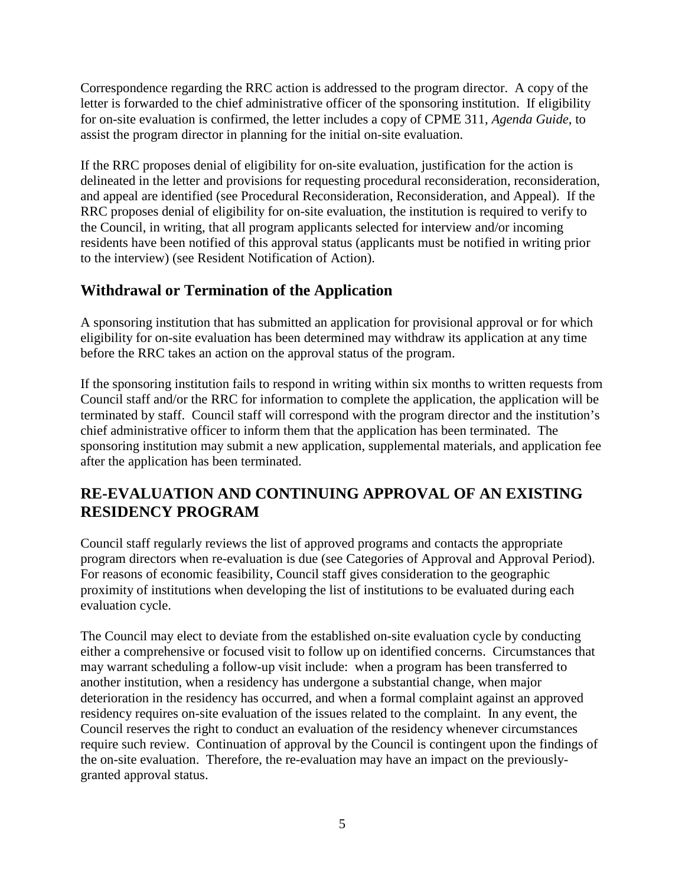Correspondence regarding the RRC action is addressed to the program director. A copy of the letter is forwarded to the chief administrative officer of the sponsoring institution. If eligibility for on-site evaluation is confirmed, the letter includes a copy of CPME 311, *Agenda Guide*, to assist the program director in planning for the initial on-site evaluation.

If the RRC proposes denial of eligibility for on-site evaluation, justification for the action is delineated in the letter and provisions for requesting procedural reconsideration, reconsideration, and appeal are identified (see Procedural Reconsideration, Reconsideration, and Appeal). If the RRC proposes denial of eligibility for on-site evaluation, the institution is required to verify to the Council, in writing, that all program applicants selected for interview and/or incoming residents have been notified of this approval status (applicants must be notified in writing prior to the interview) (see Resident Notification of Action).

# **Withdrawal or Termination of the Application**

A sponsoring institution that has submitted an application for provisional approval or for which eligibility for on-site evaluation has been determined may withdraw its application at any time before the RRC takes an action on the approval status of the program.

If the sponsoring institution fails to respond in writing within six months to written requests from Council staff and/or the RRC for information to complete the application, the application will be terminated by staff. Council staff will correspond with the program director and the institution's chief administrative officer to inform them that the application has been terminated. The sponsoring institution may submit a new application, supplemental materials, and application fee after the application has been terminated.

## **RE-EVALUATION AND CONTINUING APPROVAL OF AN EXISTING RESIDENCY PROGRAM**

Council staff regularly reviews the list of approved programs and contacts the appropriate program directors when re-evaluation is due (see Categories of Approval and Approval Period). For reasons of economic feasibility, Council staff gives consideration to the geographic proximity of institutions when developing the list of institutions to be evaluated during each evaluation cycle.

The Council may elect to deviate from the established on-site evaluation cycle by conducting either a comprehensive or focused visit to follow up on identified concerns. Circumstances that may warrant scheduling a follow-up visit include: when a program has been transferred to another institution, when a residency has undergone a substantial change, when major deterioration in the residency has occurred, and when a formal complaint against an approved residency requires on-site evaluation of the issues related to the complaint. In any event, the Council reserves the right to conduct an evaluation of the residency whenever circumstances require such review. Continuation of approval by the Council is contingent upon the findings of the on-site evaluation. Therefore, the re-evaluation may have an impact on the previouslygranted approval status.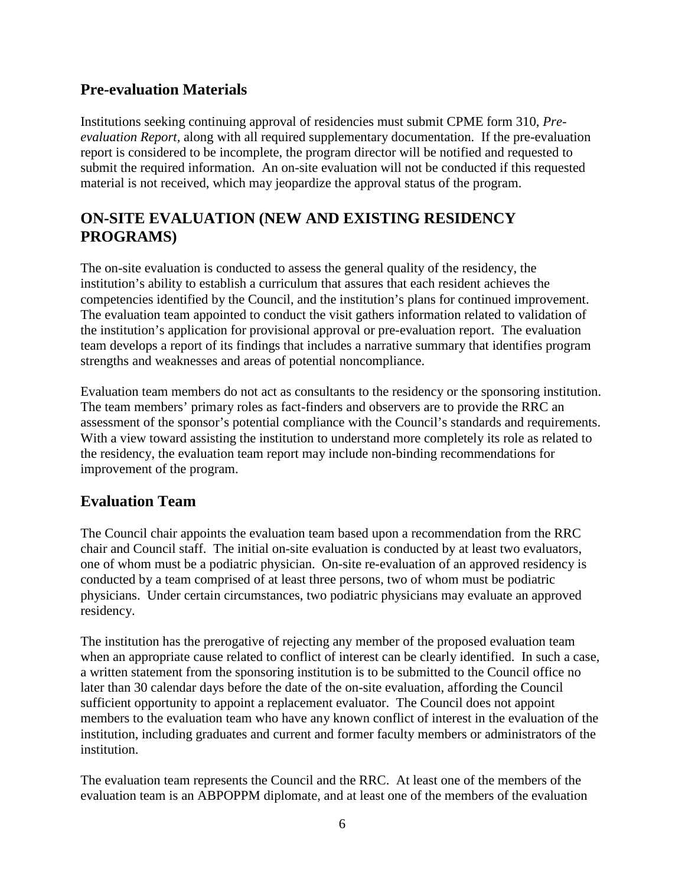#### **Pre-evaluation Materials**

Institutions seeking continuing approval of residencies must submit CPME form 310, *Preevaluation Report,* along with all required supplementary documentation. If the pre-evaluation report is considered to be incomplete, the program director will be notified and requested to submit the required information. An on-site evaluation will not be conducted if this requested material is not received, which may jeopardize the approval status of the program.

## **ON-SITE EVALUATION (NEW AND EXISTING RESIDENCY PROGRAMS)**

The on-site evaluation is conducted to assess the general quality of the residency, the institution's ability to establish a curriculum that assures that each resident achieves the competencies identified by the Council, and the institution's plans for continued improvement. The evaluation team appointed to conduct the visit gathers information related to validation of the institution's application for provisional approval or pre-evaluation report. The evaluation team develops a report of its findings that includes a narrative summary that identifies program strengths and weaknesses and areas of potential noncompliance.

Evaluation team members do not act as consultants to the residency or the sponsoring institution. The team members' primary roles as fact-finders and observers are to provide the RRC an assessment of the sponsor's potential compliance with the Council's standards and requirements. With a view toward assisting the institution to understand more completely its role as related to the residency, the evaluation team report may include non-binding recommendations for improvement of the program.

#### **Evaluation Team**

The Council chair appoints the evaluation team based upon a recommendation from the RRC chair and Council staff. The initial on-site evaluation is conducted by at least two evaluators, one of whom must be a podiatric physician. On-site re-evaluation of an approved residency is conducted by a team comprised of at least three persons, two of whom must be podiatric physicians. Under certain circumstances, two podiatric physicians may evaluate an approved residency.

The institution has the prerogative of rejecting any member of the proposed evaluation team when an appropriate cause related to conflict of interest can be clearly identified. In such a case, a written statement from the sponsoring institution is to be submitted to the Council office no later than 30 calendar days before the date of the on-site evaluation, affording the Council sufficient opportunity to appoint a replacement evaluator. The Council does not appoint members to the evaluation team who have any known conflict of interest in the evaluation of the institution, including graduates and current and former faculty members or administrators of the institution.

The evaluation team represents the Council and the RRC. At least one of the members of the evaluation team is an ABPOPPM diplomate, and at least one of the members of the evaluation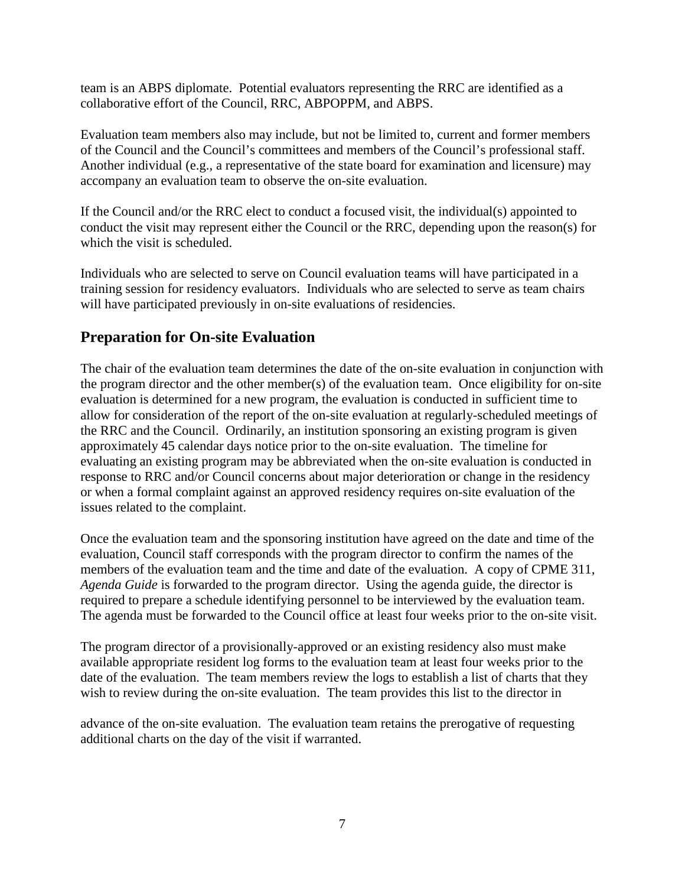team is an ABPS diplomate. Potential evaluators representing the RRC are identified as a collaborative effort of the Council, RRC, ABPOPPM, and ABPS.

Evaluation team members also may include, but not be limited to, current and former members of the Council and the Council's committees and members of the Council's professional staff. Another individual (e.g., a representative of the state board for examination and licensure) may accompany an evaluation team to observe the on-site evaluation.

If the Council and/or the RRC elect to conduct a focused visit, the individual(s) appointed to conduct the visit may represent either the Council or the RRC, depending upon the reason(s) for which the visit is scheduled.

Individuals who are selected to serve on Council evaluation teams will have participated in a training session for residency evaluators. Individuals who are selected to serve as team chairs will have participated previously in on-site evaluations of residencies.

#### **Preparation for On-site Evaluation**

The chair of the evaluation team determines the date of the on-site evaluation in conjunction with the program director and the other member(s) of the evaluation team. Once eligibility for on-site evaluation is determined for a new program, the evaluation is conducted in sufficient time to allow for consideration of the report of the on-site evaluation at regularly-scheduled meetings of the RRC and the Council. Ordinarily, an institution sponsoring an existing program is given approximately 45 calendar days notice prior to the on-site evaluation. The timeline for evaluating an existing program may be abbreviated when the on-site evaluation is conducted in response to RRC and/or Council concerns about major deterioration or change in the residency or when a formal complaint against an approved residency requires on-site evaluation of the issues related to the complaint.

Once the evaluation team and the sponsoring institution have agreed on the date and time of the evaluation, Council staff corresponds with the program director to confirm the names of the members of the evaluation team and the time and date of the evaluation. A copy of CPME 311, *Agenda Guide* is forwarded to the program director. Using the agenda guide, the director is required to prepare a schedule identifying personnel to be interviewed by the evaluation team. The agenda must be forwarded to the Council office at least four weeks prior to the on-site visit.

The program director of a provisionally-approved or an existing residency also must make available appropriate resident log forms to the evaluation team at least four weeks prior to the date of the evaluation. The team members review the logs to establish a list of charts that they wish to review during the on-site evaluation. The team provides this list to the director in

advance of the on-site evaluation. The evaluation team retains the prerogative of requesting additional charts on the day of the visit if warranted.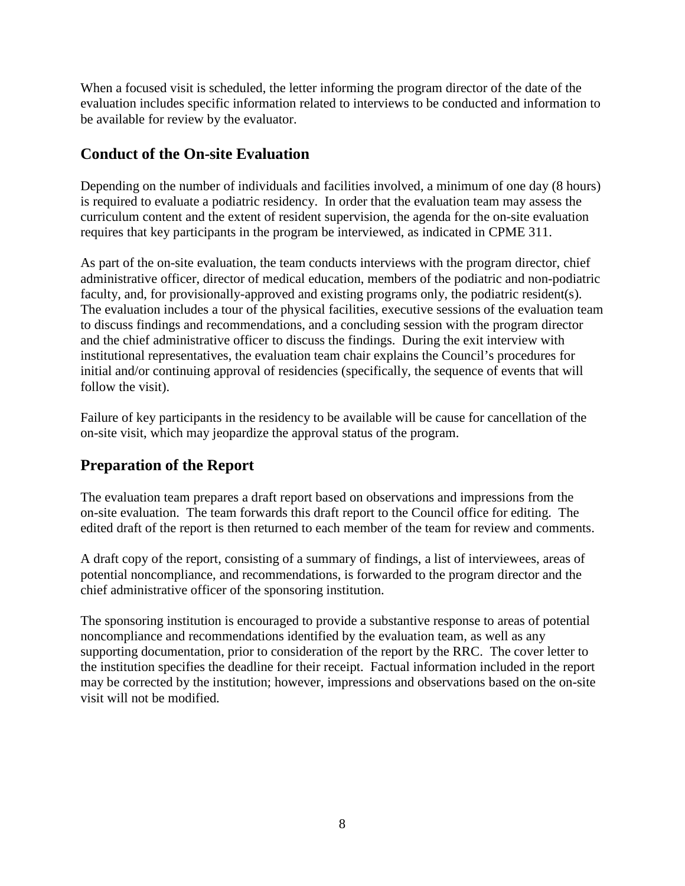When a focused visit is scheduled, the letter informing the program director of the date of the evaluation includes specific information related to interviews to be conducted and information to be available for review by the evaluator.

#### **Conduct of the On-site Evaluation**

Depending on the number of individuals and facilities involved, a minimum of one day (8 hours) is required to evaluate a podiatric residency. In order that the evaluation team may assess the curriculum content and the extent of resident supervision, the agenda for the on-site evaluation requires that key participants in the program be interviewed, as indicated in CPME 311.

As part of the on-site evaluation, the team conducts interviews with the program director, chief administrative officer, director of medical education, members of the podiatric and non-podiatric faculty, and, for provisionally-approved and existing programs only, the podiatric resident(s). The evaluation includes a tour of the physical facilities, executive sessions of the evaluation team to discuss findings and recommendations, and a concluding session with the program director and the chief administrative officer to discuss the findings. During the exit interview with institutional representatives, the evaluation team chair explains the Council's procedures for initial and/or continuing approval of residencies (specifically, the sequence of events that will follow the visit).

Failure of key participants in the residency to be available will be cause for cancellation of the on-site visit, which may jeopardize the approval status of the program.

## **Preparation of the Report**

The evaluation team prepares a draft report based on observations and impressions from the on-site evaluation. The team forwards this draft report to the Council office for editing. The edited draft of the report is then returned to each member of the team for review and comments.

A draft copy of the report, consisting of a summary of findings, a list of interviewees, areas of potential noncompliance, and recommendations, is forwarded to the program director and the chief administrative officer of the sponsoring institution.

The sponsoring institution is encouraged to provide a substantive response to areas of potential noncompliance and recommendations identified by the evaluation team, as well as any supporting documentation, prior to consideration of the report by the RRC. The cover letter to the institution specifies the deadline for their receipt. Factual information included in the report may be corrected by the institution; however, impressions and observations based on the on-site visit will not be modified.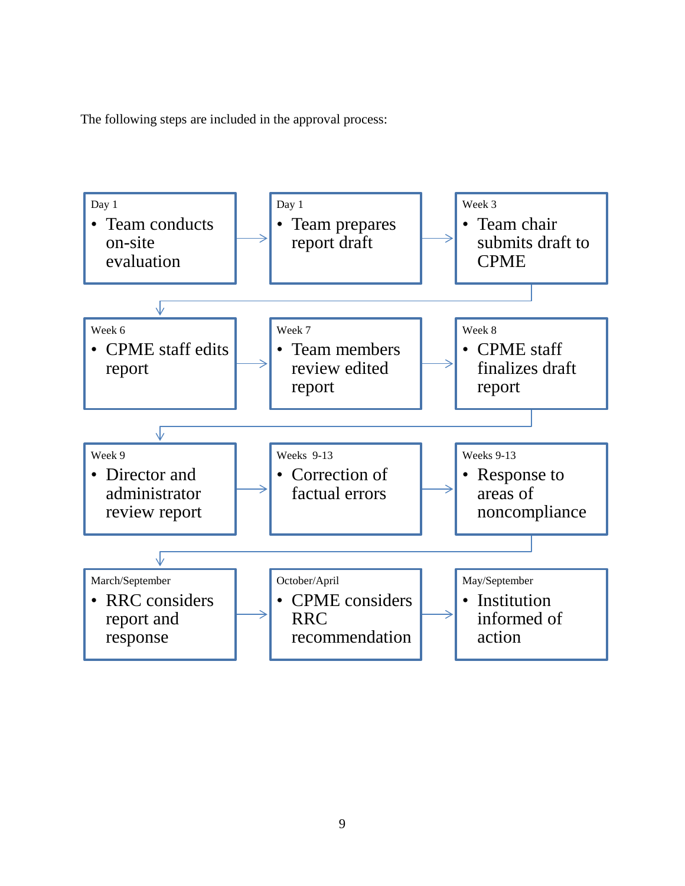The following steps are included in the approval process:

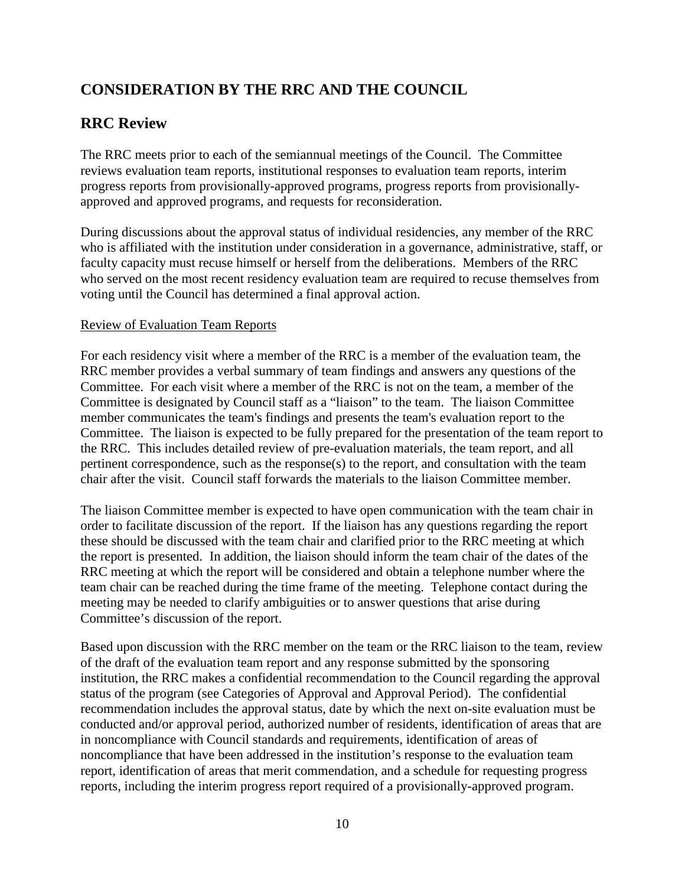# **CONSIDERATION BY THE RRC AND THE COUNCIL**

#### **RRC Review**

The RRC meets prior to each of the semiannual meetings of the Council. The Committee reviews evaluation team reports, institutional responses to evaluation team reports, interim progress reports from provisionally-approved programs, progress reports from provisionallyapproved and approved programs, and requests for reconsideration.

During discussions about the approval status of individual residencies, any member of the RRC who is affiliated with the institution under consideration in a governance, administrative, staff, or faculty capacity must recuse himself or herself from the deliberations. Members of the RRC who served on the most recent residency evaluation team are required to recuse themselves from voting until the Council has determined a final approval action.

#### Review of Evaluation Team Reports

For each residency visit where a member of the RRC is a member of the evaluation team, the RRC member provides a verbal summary of team findings and answers any questions of the Committee. For each visit where a member of the RRC is not on the team, a member of the Committee is designated by Council staff as a "liaison" to the team. The liaison Committee member communicates the team's findings and presents the team's evaluation report to the Committee. The liaison is expected to be fully prepared for the presentation of the team report to the RRC. This includes detailed review of pre-evaluation materials, the team report, and all pertinent correspondence, such as the response(s) to the report, and consultation with the team chair after the visit. Council staff forwards the materials to the liaison Committee member.

The liaison Committee member is expected to have open communication with the team chair in order to facilitate discussion of the report. If the liaison has any questions regarding the report these should be discussed with the team chair and clarified prior to the RRC meeting at which the report is presented. In addition, the liaison should inform the team chair of the dates of the RRC meeting at which the report will be considered and obtain a telephone number where the team chair can be reached during the time frame of the meeting. Telephone contact during the meeting may be needed to clarify ambiguities or to answer questions that arise during Committee's discussion of the report.

Based upon discussion with the RRC member on the team or the RRC liaison to the team, review of the draft of the evaluation team report and any response submitted by the sponsoring institution, the RRC makes a confidential recommendation to the Council regarding the approval status of the program (see Categories of Approval and Approval Period). The confidential recommendation includes the approval status, date by which the next on-site evaluation must be conducted and/or approval period, authorized number of residents, identification of areas that are in noncompliance with Council standards and requirements, identification of areas of noncompliance that have been addressed in the institution's response to the evaluation team report, identification of areas that merit commendation, and a schedule for requesting progress reports, including the interim progress report required of a provisionally-approved program.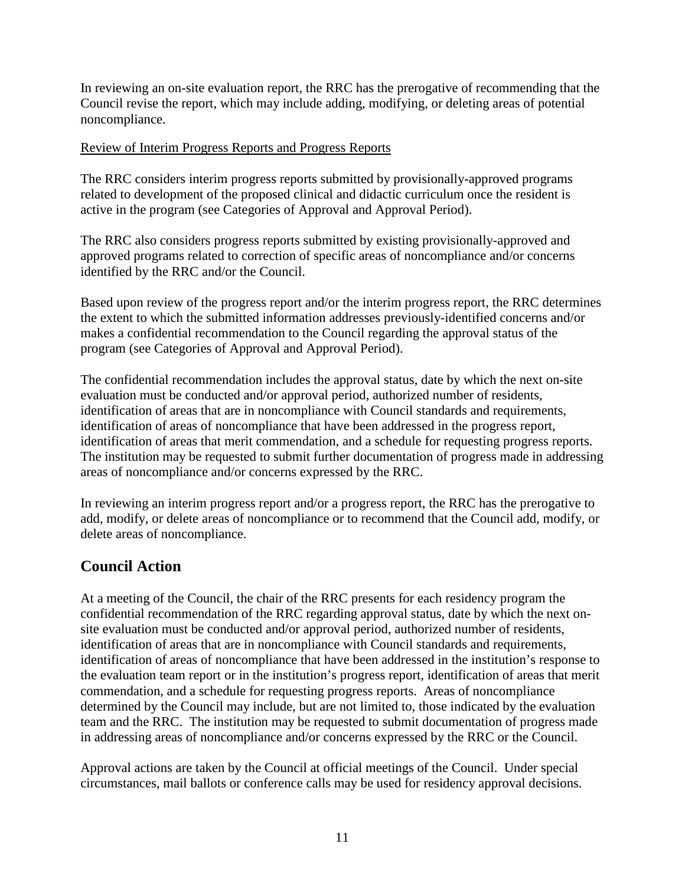In reviewing an on-site evaluation report, the RRC has the prerogative of recommending that the Council revise the report, which may include adding, modifying, or deleting areas of potential noncompliance.

#### Review of Interim Progress Reports and Progress Reports

The RRC considers interim progress reports submitted by provisionally-approved programs related to development of the proposed clinical and didactic curriculum once the resident is active in the program (see Categories of Approval and Approval Period).

The RRC also considers progress reports submitted by existing provisionally-approved and approved programs related to correction of specific areas of noncompliance and/or concerns identified by the RRC and/or the Council.

Based upon review of the progress report and/or the interim progress report, the RRC determines the extent to which the submitted information addresses previously-identified concerns and/or makes a confidential recommendation to the Council regarding the approval status of the program (see Categories of Approval and Approval Period).

The confidential recommendation includes the approval status, date by which the next on-site evaluation must be conducted and/or approval period, authorized number of residents, identification of areas that are in noncompliance with Council standards and requirements, identification of areas of noncompliance that have been addressed in the progress report, identification of areas that merit commendation, and a schedule for requesting progress reports. The institution may be requested to submit further documentation of progress made in addressing areas of noncompliance and/or concerns expressed by the RRC.

In reviewing an interim progress report and/or a progress report, the RRC has the prerogative to add, modify, or delete areas of noncompliance or to recommend that the Council add, modify, or delete areas of noncompliance.

#### **Council Action**

At a meeting of the Council, the chair of the RRC presents for each residency program the confidential recommendation of the RRC regarding approval status, date by which the next onsite evaluation must be conducted and/or approval period, authorized number of residents, identification of areas that are in noncompliance with Council standards and requirements, identification of areas of noncompliance that have been addressed in the institution's response to the evaluation team report or in the institution's progress report, identification of areas that merit commendation, and a schedule for requesting progress reports. Areas of noncompliance determined by the Council may include, but are not limited to, those indicated by the evaluation team and the RRC. The institution may be requested to submit documentation of progress made in addressing areas of noncompliance and/or concerns expressed by the RRC or the Council.

Approval actions are taken by the Council at official meetings of the Council. Under special circumstances, mail ballots or conference calls may be used for residency approval decisions.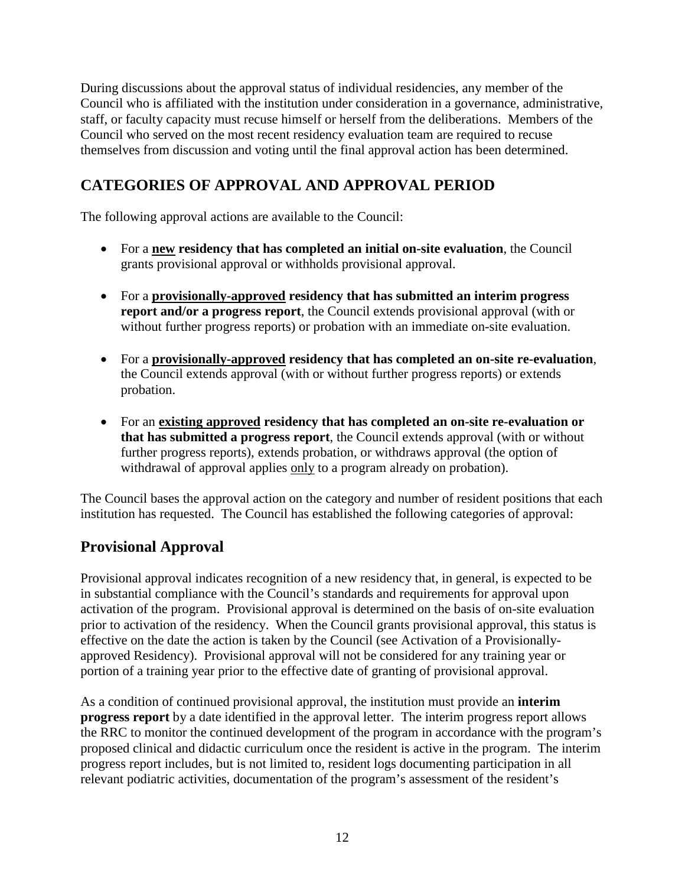During discussions about the approval status of individual residencies, any member of the Council who is affiliated with the institution under consideration in a governance, administrative, staff, or faculty capacity must recuse himself or herself from the deliberations. Members of the Council who served on the most recent residency evaluation team are required to recuse themselves from discussion and voting until the final approval action has been determined.

# **CATEGORIES OF APPROVAL AND APPROVAL PERIOD**

The following approval actions are available to the Council:

- For a **new residency that has completed an initial on-site evaluation**, the Council grants provisional approval or withholds provisional approval.
- For a **provisionally-approved residency that has submitted an interim progress report and/or a progress report**, the Council extends provisional approval (with or without further progress reports) or probation with an immediate on-site evaluation.
- For a **provisionally-approved residency that has completed an on-site re-evaluation**, the Council extends approval (with or without further progress reports) or extends probation.
- For an **existing approved residency that has completed an on-site re-evaluation or that has submitted a progress report**, the Council extends approval (with or without further progress reports), extends probation, or withdraws approval (the option of withdrawal of approval applies only to a program already on probation).

The Council bases the approval action on the category and number of resident positions that each institution has requested. The Council has established the following categories of approval:

# **Provisional Approval**

Provisional approval indicates recognition of a new residency that, in general, is expected to be in substantial compliance with the Council's standards and requirements for approval upon activation of the program. Provisional approval is determined on the basis of on-site evaluation prior to activation of the residency. When the Council grants provisional approval, this status is effective on the date the action is taken by the Council (see Activation of a Provisionallyapproved Residency). Provisional approval will not be considered for any training year or portion of a training year prior to the effective date of granting of provisional approval.

As a condition of continued provisional approval, the institution must provide an **interim progress report** by a date identified in the approval letter. The interim progress report allows the RRC to monitor the continued development of the program in accordance with the program's proposed clinical and didactic curriculum once the resident is active in the program. The interim progress report includes, but is not limited to, resident logs documenting participation in all relevant podiatric activities, documentation of the program's assessment of the resident's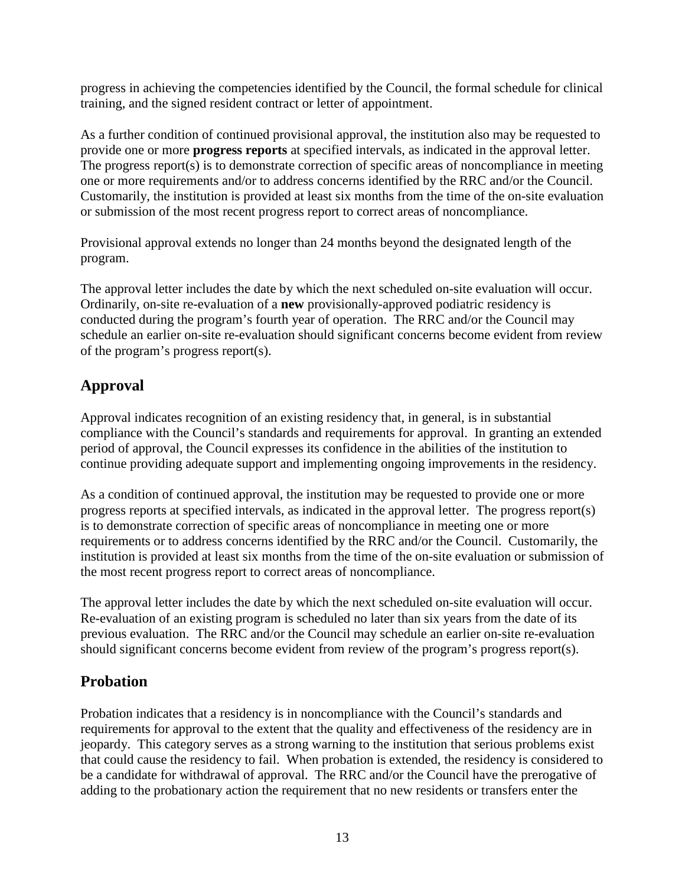progress in achieving the competencies identified by the Council, the formal schedule for clinical training, and the signed resident contract or letter of appointment.

As a further condition of continued provisional approval, the institution also may be requested to provide one or more **progress reports** at specified intervals, as indicated in the approval letter. The progress report(s) is to demonstrate correction of specific areas of noncompliance in meeting one or more requirements and/or to address concerns identified by the RRC and/or the Council. Customarily, the institution is provided at least six months from the time of the on-site evaluation or submission of the most recent progress report to correct areas of noncompliance.

Provisional approval extends no longer than 24 months beyond the designated length of the program.

The approval letter includes the date by which the next scheduled on-site evaluation will occur. Ordinarily, on-site re-evaluation of a **new** provisionally-approved podiatric residency is conducted during the program's fourth year of operation. The RRC and/or the Council may schedule an earlier on-site re-evaluation should significant concerns become evident from review of the program's progress report(s).

# **Approval**

Approval indicates recognition of an existing residency that, in general, is in substantial compliance with the Council's standards and requirements for approval. In granting an extended period of approval, the Council expresses its confidence in the abilities of the institution to continue providing adequate support and implementing ongoing improvements in the residency.

As a condition of continued approval, the institution may be requested to provide one or more progress reports at specified intervals, as indicated in the approval letter. The progress report(s) is to demonstrate correction of specific areas of noncompliance in meeting one or more requirements or to address concerns identified by the RRC and/or the Council. Customarily, the institution is provided at least six months from the time of the on-site evaluation or submission of the most recent progress report to correct areas of noncompliance.

The approval letter includes the date by which the next scheduled on-site evaluation will occur. Re-evaluation of an existing program is scheduled no later than six years from the date of its previous evaluation. The RRC and/or the Council may schedule an earlier on-site re-evaluation should significant concerns become evident from review of the program's progress report(s).

# **Probation**

Probation indicates that a residency is in noncompliance with the Council's standards and requirements for approval to the extent that the quality and effectiveness of the residency are in jeopardy. This category serves as a strong warning to the institution that serious problems exist that could cause the residency to fail. When probation is extended, the residency is considered to be a candidate for withdrawal of approval. The RRC and/or the Council have the prerogative of adding to the probationary action the requirement that no new residents or transfers enter the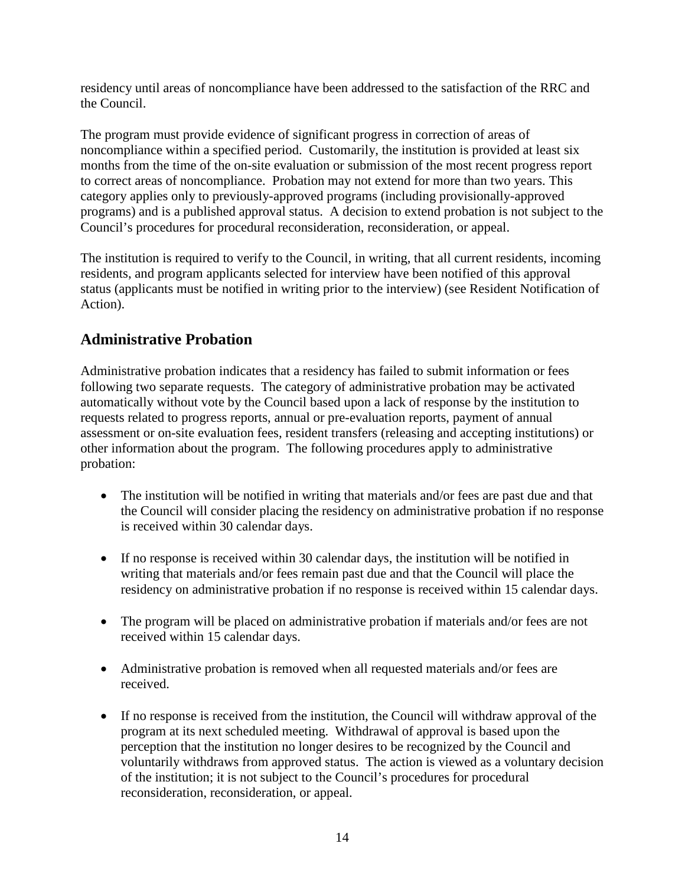residency until areas of noncompliance have been addressed to the satisfaction of the RRC and the Council.

The program must provide evidence of significant progress in correction of areas of noncompliance within a specified period. Customarily, the institution is provided at least six months from the time of the on-site evaluation or submission of the most recent progress report to correct areas of noncompliance. Probation may not extend for more than two years. This category applies only to previously-approved programs (including provisionally-approved programs) and is a published approval status. A decision to extend probation is not subject to the Council's procedures for procedural reconsideration, reconsideration, or appeal.

The institution is required to verify to the Council, in writing, that all current residents, incoming residents, and program applicants selected for interview have been notified of this approval status (applicants must be notified in writing prior to the interview) (see Resident Notification of Action).

## **Administrative Probation**

Administrative probation indicates that a residency has failed to submit information or fees following two separate requests. The category of administrative probation may be activated automatically without vote by the Council based upon a lack of response by the institution to requests related to progress reports, annual or pre-evaluation reports, payment of annual assessment or on-site evaluation fees, resident transfers (releasing and accepting institutions) or other information about the program. The following procedures apply to administrative probation:

- The institution will be notified in writing that materials and/or fees are past due and that the Council will consider placing the residency on administrative probation if no response is received within 30 calendar days.
- If no response is received within 30 calendar days, the institution will be notified in writing that materials and/or fees remain past due and that the Council will place the residency on administrative probation if no response is received within 15 calendar days.
- The program will be placed on administrative probation if materials and/or fees are not received within 15 calendar days.
- Administrative probation is removed when all requested materials and/or fees are received.
- If no response is received from the institution, the Council will withdraw approval of the program at its next scheduled meeting. Withdrawal of approval is based upon the perception that the institution no longer desires to be recognized by the Council and voluntarily withdraws from approved status. The action is viewed as a voluntary decision of the institution; it is not subject to the Council's procedures for procedural reconsideration, reconsideration, or appeal.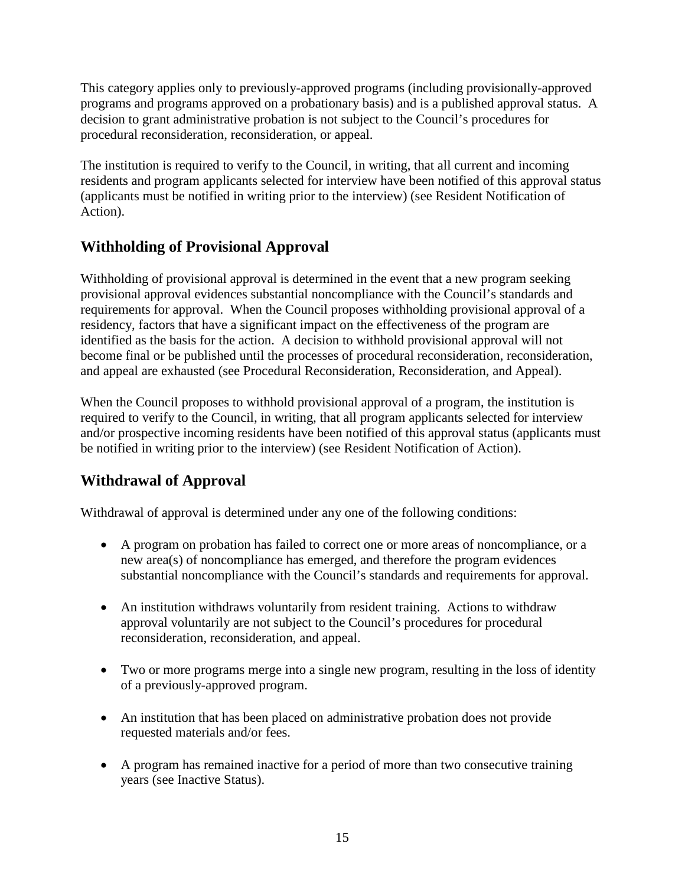This category applies only to previously-approved programs (including provisionally-approved programs and programs approved on a probationary basis) and is a published approval status. A decision to grant administrative probation is not subject to the Council's procedures for procedural reconsideration, reconsideration, or appeal.

The institution is required to verify to the Council, in writing, that all current and incoming residents and program applicants selected for interview have been notified of this approval status (applicants must be notified in writing prior to the interview) (see Resident Notification of Action).

# **Withholding of Provisional Approval**

Withholding of provisional approval is determined in the event that a new program seeking provisional approval evidences substantial noncompliance with the Council's standards and requirements for approval. When the Council proposes withholding provisional approval of a residency, factors that have a significant impact on the effectiveness of the program are identified as the basis for the action. A decision to withhold provisional approval will not become final or be published until the processes of procedural reconsideration, reconsideration, and appeal are exhausted (see Procedural Reconsideration, Reconsideration, and Appeal).

When the Council proposes to withhold provisional approval of a program, the institution is required to verify to the Council, in writing, that all program applicants selected for interview and/or prospective incoming residents have been notified of this approval status (applicants must be notified in writing prior to the interview) (see Resident Notification of Action).

# **Withdrawal of Approval**

Withdrawal of approval is determined under any one of the following conditions:

- A program on probation has failed to correct one or more areas of noncompliance, or a new area(s) of noncompliance has emerged, and therefore the program evidences substantial noncompliance with the Council's standards and requirements for approval.
- An institution withdraws voluntarily from resident training. Actions to withdraw approval voluntarily are not subject to the Council's procedures for procedural reconsideration, reconsideration, and appeal.
- Two or more programs merge into a single new program, resulting in the loss of identity of a previously-approved program.
- An institution that has been placed on administrative probation does not provide requested materials and/or fees.
- A program has remained inactive for a period of more than two consecutive training years (see Inactive Status).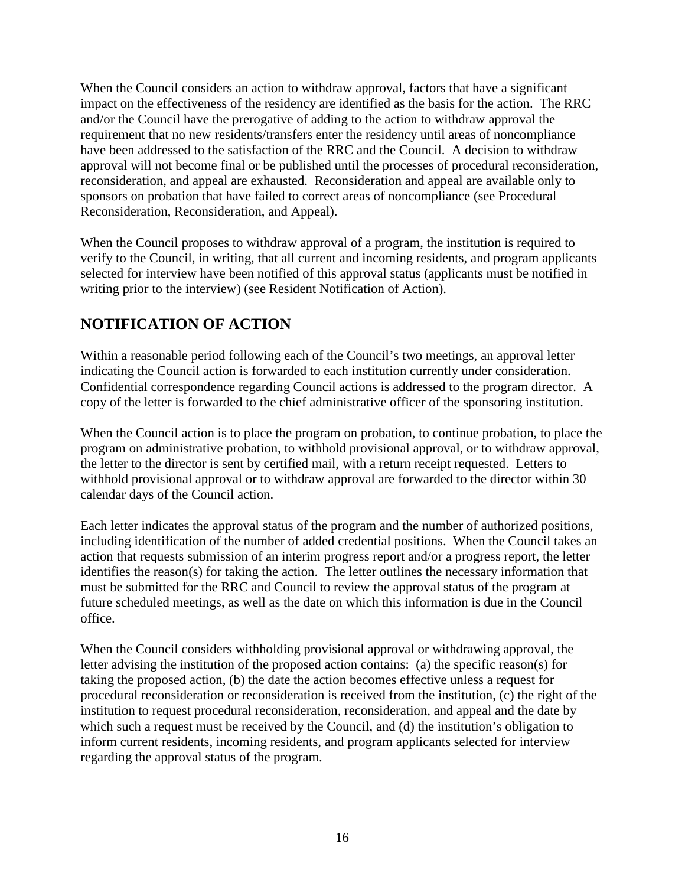When the Council considers an action to withdraw approval, factors that have a significant impact on the effectiveness of the residency are identified as the basis for the action. The RRC and/or the Council have the prerogative of adding to the action to withdraw approval the requirement that no new residents/transfers enter the residency until areas of noncompliance have been addressed to the satisfaction of the RRC and the Council. A decision to withdraw approval will not become final or be published until the processes of procedural reconsideration, reconsideration, and appeal are exhausted. Reconsideration and appeal are available only to sponsors on probation that have failed to correct areas of noncompliance (see Procedural Reconsideration, Reconsideration, and Appeal).

When the Council proposes to withdraw approval of a program, the institution is required to verify to the Council, in writing, that all current and incoming residents, and program applicants selected for interview have been notified of this approval status (applicants must be notified in writing prior to the interview) (see Resident Notification of Action).

## **NOTIFICATION OF ACTION**

Within a reasonable period following each of the Council's two meetings, an approval letter indicating the Council action is forwarded to each institution currently under consideration. Confidential correspondence regarding Council actions is addressed to the program director. A copy of the letter is forwarded to the chief administrative officer of the sponsoring institution.

When the Council action is to place the program on probation, to continue probation, to place the program on administrative probation, to withhold provisional approval, or to withdraw approval, the letter to the director is sent by certified mail, with a return receipt requested. Letters to withhold provisional approval or to withdraw approval are forwarded to the director within 30 calendar days of the Council action.

Each letter indicates the approval status of the program and the number of authorized positions, including identification of the number of added credential positions. When the Council takes an action that requests submission of an interim progress report and/or a progress report, the letter identifies the reason(s) for taking the action. The letter outlines the necessary information that must be submitted for the RRC and Council to review the approval status of the program at future scheduled meetings, as well as the date on which this information is due in the Council office.

When the Council considers withholding provisional approval or withdrawing approval, the letter advising the institution of the proposed action contains: (a) the specific reason(s) for taking the proposed action, (b) the date the action becomes effective unless a request for procedural reconsideration or reconsideration is received from the institution, (c) the right of the institution to request procedural reconsideration, reconsideration, and appeal and the date by which such a request must be received by the Council, and (d) the institution's obligation to inform current residents, incoming residents, and program applicants selected for interview regarding the approval status of the program.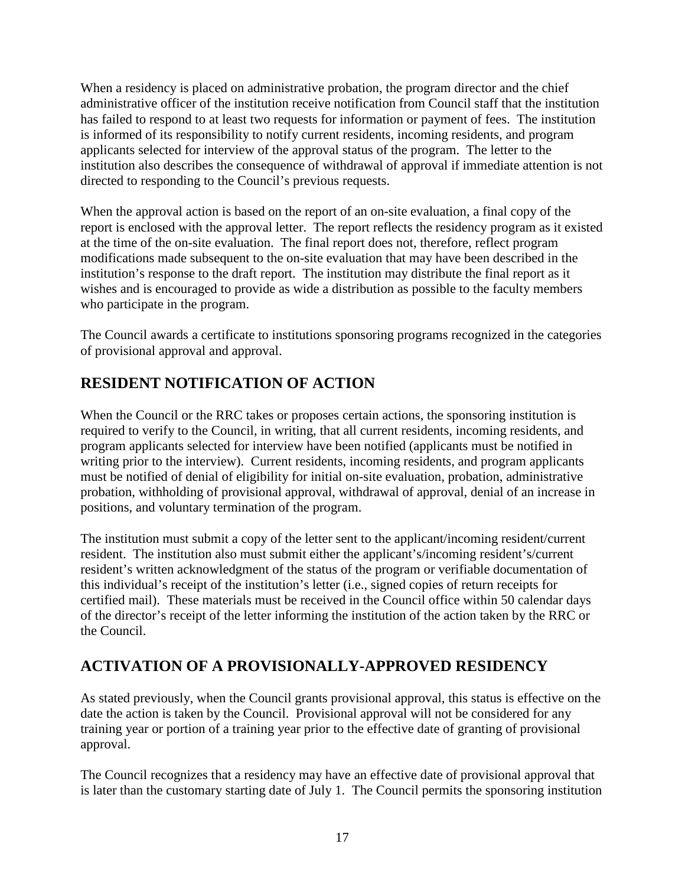When a residency is placed on administrative probation, the program director and the chief administrative officer of the institution receive notification from Council staff that the institution has failed to respond to at least two requests for information or payment of fees. The institution is informed of its responsibility to notify current residents, incoming residents, and program applicants selected for interview of the approval status of the program. The letter to the institution also describes the consequence of withdrawal of approval if immediate attention is not directed to responding to the Council's previous requests.

When the approval action is based on the report of an on-site evaluation, a final copy of the report is enclosed with the approval letter. The report reflects the residency program as it existed at the time of the on-site evaluation. The final report does not, therefore, reflect program modifications made subsequent to the on-site evaluation that may have been described in the institution's response to the draft report. The institution may distribute the final report as it wishes and is encouraged to provide as wide a distribution as possible to the faculty members who participate in the program.

The Council awards a certificate to institutions sponsoring programs recognized in the categories of provisional approval and approval.

# **RESIDENT NOTIFICATION OF ACTION**

When the Council or the RRC takes or proposes certain actions, the sponsoring institution is required to verify to the Council, in writing, that all current residents, incoming residents, and program applicants selected for interview have been notified (applicants must be notified in writing prior to the interview). Current residents, incoming residents, and program applicants must be notified of denial of eligibility for initial on-site evaluation, probation, administrative probation, withholding of provisional approval, withdrawal of approval, denial of an increase in positions, and voluntary termination of the program.

The institution must submit a copy of the letter sent to the applicant/incoming resident/current resident. The institution also must submit either the applicant's/incoming resident's/current resident's written acknowledgment of the status of the program or verifiable documentation of this individual's receipt of the institution's letter (i.e., signed copies of return receipts for certified mail). These materials must be received in the Council office within 50 calendar days of the director's receipt of the letter informing the institution of the action taken by the RRC or the Council.

# **ACTIVATION OF A PROVISIONALLY-APPROVED RESIDENCY**

As stated previously, when the Council grants provisional approval, this status is effective on the date the action is taken by the Council. Provisional approval will not be considered for any training year or portion of a training year prior to the effective date of granting of provisional approval.

The Council recognizes that a residency may have an effective date of provisional approval that is later than the customary starting date of July 1. The Council permits the sponsoring institution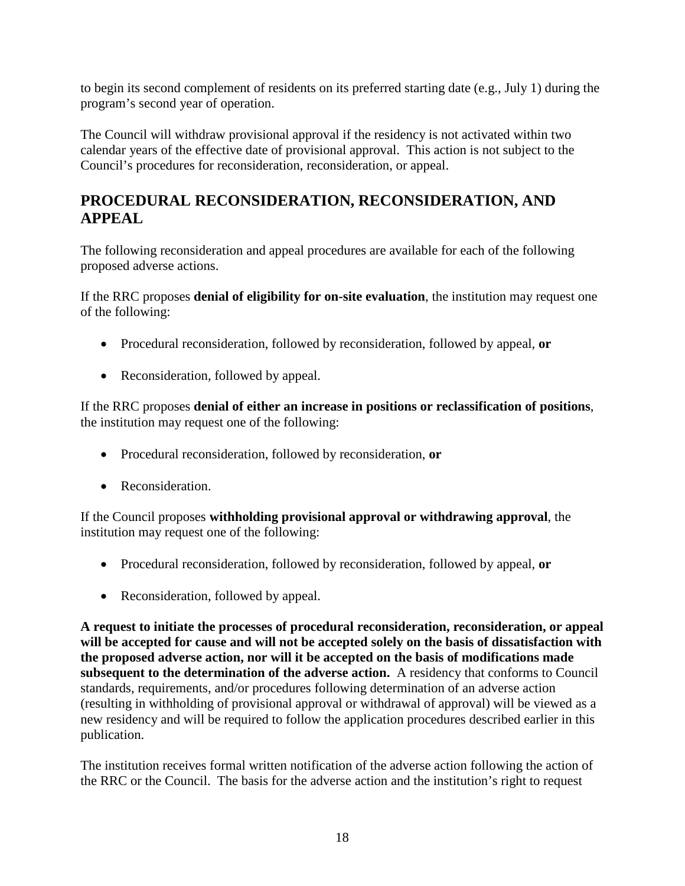to begin its second complement of residents on its preferred starting date (e.g., July 1) during the program's second year of operation.

The Council will withdraw provisional approval if the residency is not activated within two calendar years of the effective date of provisional approval. This action is not subject to the Council's procedures for reconsideration, reconsideration, or appeal.

# **PROCEDURAL RECONSIDERATION, RECONSIDERATION, AND APPEAL**

The following reconsideration and appeal procedures are available for each of the following proposed adverse actions.

If the RRC proposes **denial of eligibility for on-site evaluation**, the institution may request one of the following:

- Procedural reconsideration, followed by reconsideration, followed by appeal, **or**
- Reconsideration, followed by appeal.

If the RRC proposes **denial of either an increase in positions or reclassification of positions**, the institution may request one of the following:

- Procedural reconsideration, followed by reconsideration, **or**
- Reconsideration.

If the Council proposes **withholding provisional approval or withdrawing approval**, the institution may request one of the following:

- Procedural reconsideration, followed by reconsideration, followed by appeal, **or**
- Reconsideration, followed by appeal.

**A request to initiate the processes of procedural reconsideration, reconsideration, or appeal will be accepted for cause and will not be accepted solely on the basis of dissatisfaction with the proposed adverse action, nor will it be accepted on the basis of modifications made subsequent to the determination of the adverse action.** A residency that conforms to Council standards, requirements, and/or procedures following determination of an adverse action (resulting in withholding of provisional approval or withdrawal of approval) will be viewed as a new residency and will be required to follow the application procedures described earlier in this publication.

The institution receives formal written notification of the adverse action following the action of the RRC or the Council. The basis for the adverse action and the institution's right to request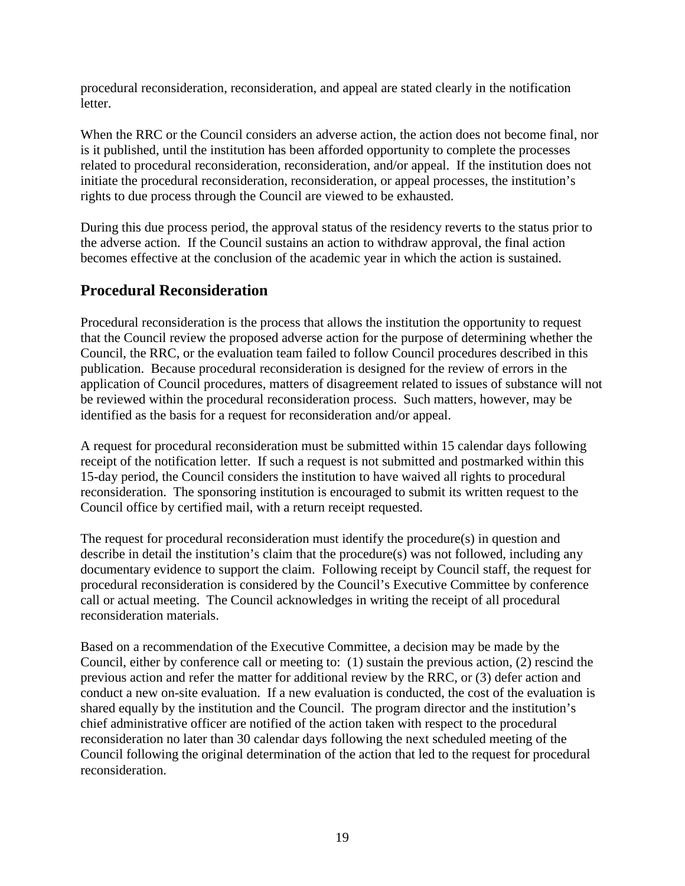procedural reconsideration, reconsideration, and appeal are stated clearly in the notification letter.

When the RRC or the Council considers an adverse action, the action does not become final, nor is it published, until the institution has been afforded opportunity to complete the processes related to procedural reconsideration, reconsideration, and/or appeal. If the institution does not initiate the procedural reconsideration, reconsideration, or appeal processes, the institution's rights to due process through the Council are viewed to be exhausted.

During this due process period, the approval status of the residency reverts to the status prior to the adverse action. If the Council sustains an action to withdraw approval, the final action becomes effective at the conclusion of the academic year in which the action is sustained.

#### **Procedural Reconsideration**

Procedural reconsideration is the process that allows the institution the opportunity to request that the Council review the proposed adverse action for the purpose of determining whether the Council, the RRC, or the evaluation team failed to follow Council procedures described in this publication. Because procedural reconsideration is designed for the review of errors in the application of Council procedures, matters of disagreement related to issues of substance will not be reviewed within the procedural reconsideration process. Such matters, however, may be identified as the basis for a request for reconsideration and/or appeal.

A request for procedural reconsideration must be submitted within 15 calendar days following receipt of the notification letter. If such a request is not submitted and postmarked within this 15-day period, the Council considers the institution to have waived all rights to procedural reconsideration. The sponsoring institution is encouraged to submit its written request to the Council office by certified mail, with a return receipt requested.

The request for procedural reconsideration must identify the procedure(s) in question and describe in detail the institution's claim that the procedure(s) was not followed, including any documentary evidence to support the claim. Following receipt by Council staff, the request for procedural reconsideration is considered by the Council's Executive Committee by conference call or actual meeting. The Council acknowledges in writing the receipt of all procedural reconsideration materials.

Based on a recommendation of the Executive Committee, a decision may be made by the Council, either by conference call or meeting to: (1) sustain the previous action, (2) rescind the previous action and refer the matter for additional review by the RRC, or (3) defer action and conduct a new on-site evaluation. If a new evaluation is conducted, the cost of the evaluation is shared equally by the institution and the Council. The program director and the institution's chief administrative officer are notified of the action taken with respect to the procedural reconsideration no later than 30 calendar days following the next scheduled meeting of the Council following the original determination of the action that led to the request for procedural reconsideration.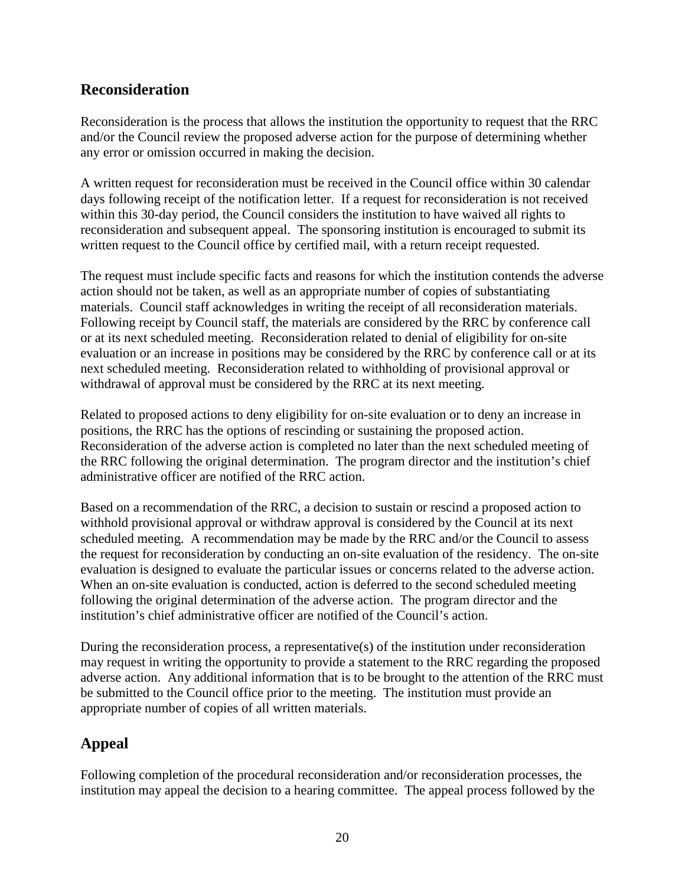#### **Reconsideration**

Reconsideration is the process that allows the institution the opportunity to request that the RRC and/or the Council review the proposed adverse action for the purpose of determining whether any error or omission occurred in making the decision.

A written request for reconsideration must be received in the Council office within 30 calendar days following receipt of the notification letter. If a request for reconsideration is not received within this 30-day period, the Council considers the institution to have waived all rights to reconsideration and subsequent appeal. The sponsoring institution is encouraged to submit its written request to the Council office by certified mail, with a return receipt requested.

The request must include specific facts and reasons for which the institution contends the adverse action should not be taken, as well as an appropriate number of copies of substantiating materials. Council staff acknowledges in writing the receipt of all reconsideration materials. Following receipt by Council staff, the materials are considered by the RRC by conference call or at its next scheduled meeting. Reconsideration related to denial of eligibility for on-site evaluation or an increase in positions may be considered by the RRC by conference call or at its next scheduled meeting. Reconsideration related to withholding of provisional approval or withdrawal of approval must be considered by the RRC at its next meeting.

Related to proposed actions to deny eligibility for on-site evaluation or to deny an increase in positions, the RRC has the options of rescinding or sustaining the proposed action. Reconsideration of the adverse action is completed no later than the next scheduled meeting of the RRC following the original determination. The program director and the institution's chief administrative officer are notified of the RRC action.

Based on a recommendation of the RRC, a decision to sustain or rescind a proposed action to withhold provisional approval or withdraw approval is considered by the Council at its next scheduled meeting. A recommendation may be made by the RRC and/or the Council to assess the request for reconsideration by conducting an on-site evaluation of the residency. The on-site evaluation is designed to evaluate the particular issues or concerns related to the adverse action. When an on-site evaluation is conducted, action is deferred to the second scheduled meeting following the original determination of the adverse action. The program director and the institution's chief administrative officer are notified of the Council's action.

During the reconsideration process, a representative(s) of the institution under reconsideration may request in writing the opportunity to provide a statement to the RRC regarding the proposed adverse action. Any additional information that is to be brought to the attention of the RRC must be submitted to the Council office prior to the meeting. The institution must provide an appropriate number of copies of all written materials.

# **Appeal**

Following completion of the procedural reconsideration and/or reconsideration processes, the institution may appeal the decision to a hearing committee. The appeal process followed by the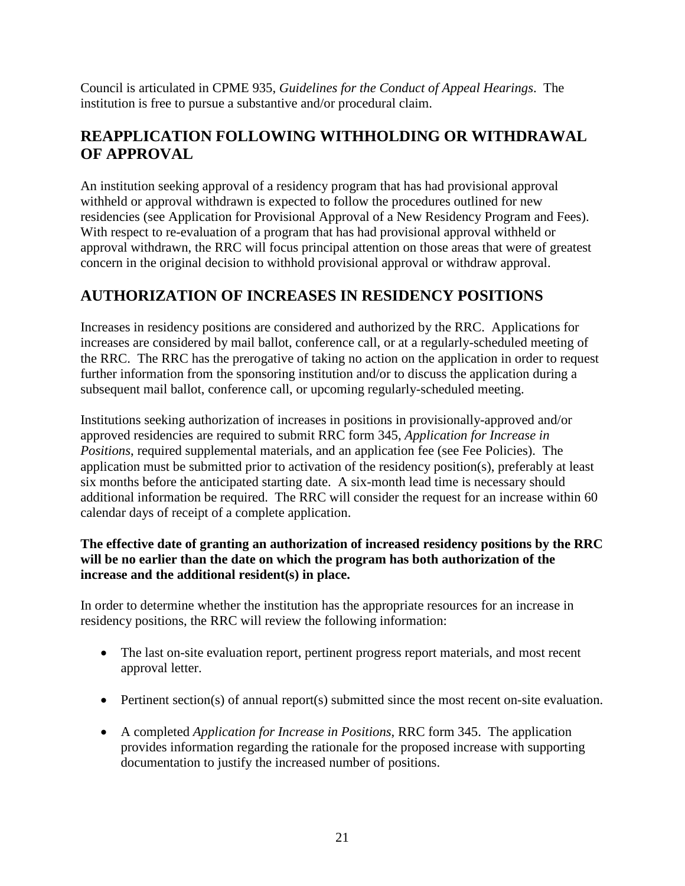Council is articulated in CPME 935, *Guidelines for the Conduct of Appeal Hearings*. The institution is free to pursue a substantive and/or procedural claim.

# **REAPPLICATION FOLLOWING WITHHOLDING OR WITHDRAWAL OF APPROVAL**

An institution seeking approval of a residency program that has had provisional approval withheld or approval withdrawn is expected to follow the procedures outlined for new residencies (see Application for Provisional Approval of a New Residency Program and Fees). With respect to re-evaluation of a program that has had provisional approval withheld or approval withdrawn, the RRC will focus principal attention on those areas that were of greatest concern in the original decision to withhold provisional approval or withdraw approval.

# **AUTHORIZATION OF INCREASES IN RESIDENCY POSITIONS**

Increases in residency positions are considered and authorized by the RRC. Applications for increases are considered by mail ballot, conference call, or at a regularly-scheduled meeting of the RRC. The RRC has the prerogative of taking no action on the application in order to request further information from the sponsoring institution and/or to discuss the application during a subsequent mail ballot, conference call, or upcoming regularly-scheduled meeting.

Institutions seeking authorization of increases in positions in provisionally-approved and/or approved residencies are required to submit RRC form 345, *Application for Increase in Positions*, required supplemental materials, and an application fee (see Fee Policies). The application must be submitted prior to activation of the residency position(s), preferably at least six months before the anticipated starting date. A six-month lead time is necessary should additional information be required. The RRC will consider the request for an increase within 60 calendar days of receipt of a complete application.

#### **The effective date of granting an authorization of increased residency positions by the RRC will be no earlier than the date on which the program has both authorization of the increase and the additional resident(s) in place.**

In order to determine whether the institution has the appropriate resources for an increase in residency positions, the RRC will review the following information:

- The last on-site evaluation report, pertinent progress report materials, and most recent approval letter.
- Pertinent section(s) of annual report(s) submitted since the most recent on-site evaluation.
- A completed *Application for Increase in Positions*, RRC form 345. The application provides information regarding the rationale for the proposed increase with supporting documentation to justify the increased number of positions.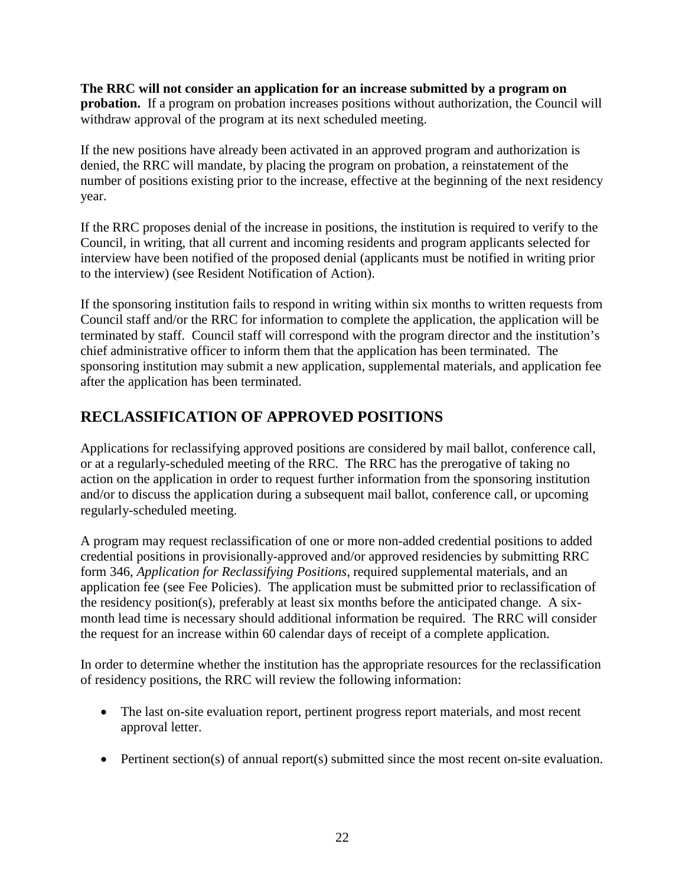**The RRC will not consider an application for an increase submitted by a program on probation.** If a program on probation increases positions without authorization, the Council will withdraw approval of the program at its next scheduled meeting.

If the new positions have already been activated in an approved program and authorization is denied, the RRC will mandate, by placing the program on probation, a reinstatement of the number of positions existing prior to the increase, effective at the beginning of the next residency year.

If the RRC proposes denial of the increase in positions, the institution is required to verify to the Council, in writing, that all current and incoming residents and program applicants selected for interview have been notified of the proposed denial (applicants must be notified in writing prior to the interview) (see Resident Notification of Action).

If the sponsoring institution fails to respond in writing within six months to written requests from Council staff and/or the RRC for information to complete the application, the application will be terminated by staff. Council staff will correspond with the program director and the institution's chief administrative officer to inform them that the application has been terminated. The sponsoring institution may submit a new application, supplemental materials, and application fee after the application has been terminated.

# **RECLASSIFICATION OF APPROVED POSITIONS**

Applications for reclassifying approved positions are considered by mail ballot, conference call, or at a regularly-scheduled meeting of the RRC. The RRC has the prerogative of taking no action on the application in order to request further information from the sponsoring institution and/or to discuss the application during a subsequent mail ballot, conference call, or upcoming regularly-scheduled meeting.

A program may request reclassification of one or more non-added credential positions to added credential positions in provisionally-approved and/or approved residencies by submitting RRC form 346, *Application for Reclassifying Positions*, required supplemental materials, and an application fee (see Fee Policies). The application must be submitted prior to reclassification of the residency position(s), preferably at least six months before the anticipated change. A sixmonth lead time is necessary should additional information be required. The RRC will consider the request for an increase within 60 calendar days of receipt of a complete application.

In order to determine whether the institution has the appropriate resources for the reclassification of residency positions, the RRC will review the following information:

- The last on-site evaluation report, pertinent progress report materials, and most recent approval letter.
- Pertinent section(s) of annual report(s) submitted since the most recent on-site evaluation.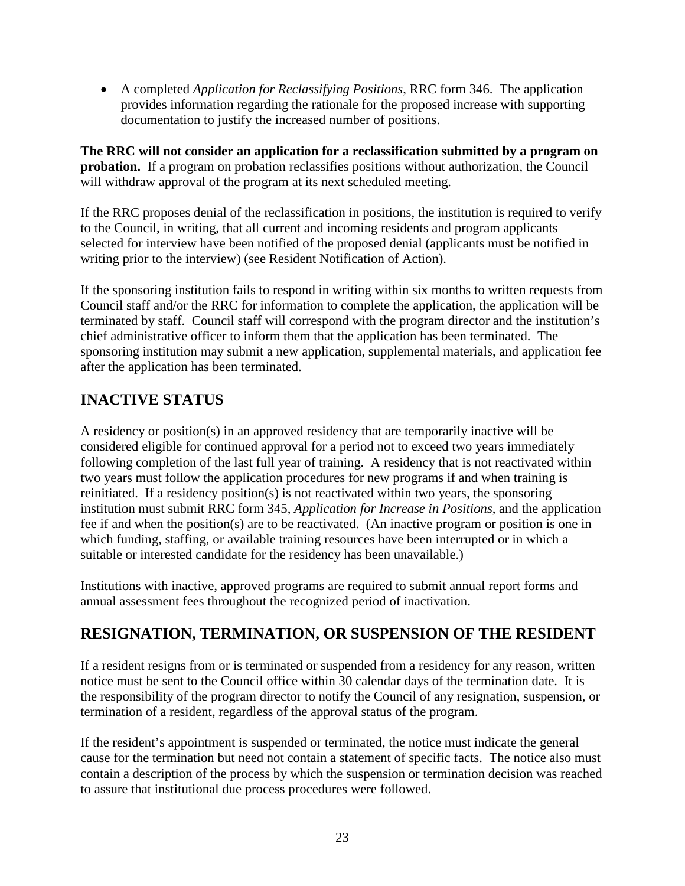• A completed *Application for Reclassifying Positions*, RRC form 346. The application provides information regarding the rationale for the proposed increase with supporting documentation to justify the increased number of positions.

**The RRC will not consider an application for a reclassification submitted by a program on probation.** If a program on probation reclassifies positions without authorization, the Council will withdraw approval of the program at its next scheduled meeting.

If the RRC proposes denial of the reclassification in positions, the institution is required to verify to the Council, in writing, that all current and incoming residents and program applicants selected for interview have been notified of the proposed denial (applicants must be notified in writing prior to the interview) (see Resident Notification of Action).

If the sponsoring institution fails to respond in writing within six months to written requests from Council staff and/or the RRC for information to complete the application, the application will be terminated by staff. Council staff will correspond with the program director and the institution's chief administrative officer to inform them that the application has been terminated. The sponsoring institution may submit a new application, supplemental materials, and application fee after the application has been terminated.

# **INACTIVE STATUS**

A residency or position(s) in an approved residency that are temporarily inactive will be considered eligible for continued approval for a period not to exceed two years immediately following completion of the last full year of training. A residency that is not reactivated within two years must follow the application procedures for new programs if and when training is reinitiated. If a residency position(s) is not reactivated within two years, the sponsoring institution must submit RRC form 345, *Application for Increase in Positions*, and the application fee if and when the position(s) are to be reactivated. (An inactive program or position is one in which funding, staffing, or available training resources have been interrupted or in which a suitable or interested candidate for the residency has been unavailable.)

Institutions with inactive, approved programs are required to submit annual report forms and annual assessment fees throughout the recognized period of inactivation.

# **RESIGNATION, TERMINATION, OR SUSPENSION OF THE RESIDENT**

If a resident resigns from or is terminated or suspended from a residency for any reason, written notice must be sent to the Council office within 30 calendar days of the termination date. It is the responsibility of the program director to notify the Council of any resignation, suspension, or termination of a resident, regardless of the approval status of the program.

If the resident's appointment is suspended or terminated, the notice must indicate the general cause for the termination but need not contain a statement of specific facts. The notice also must contain a description of the process by which the suspension or termination decision was reached to assure that institutional due process procedures were followed.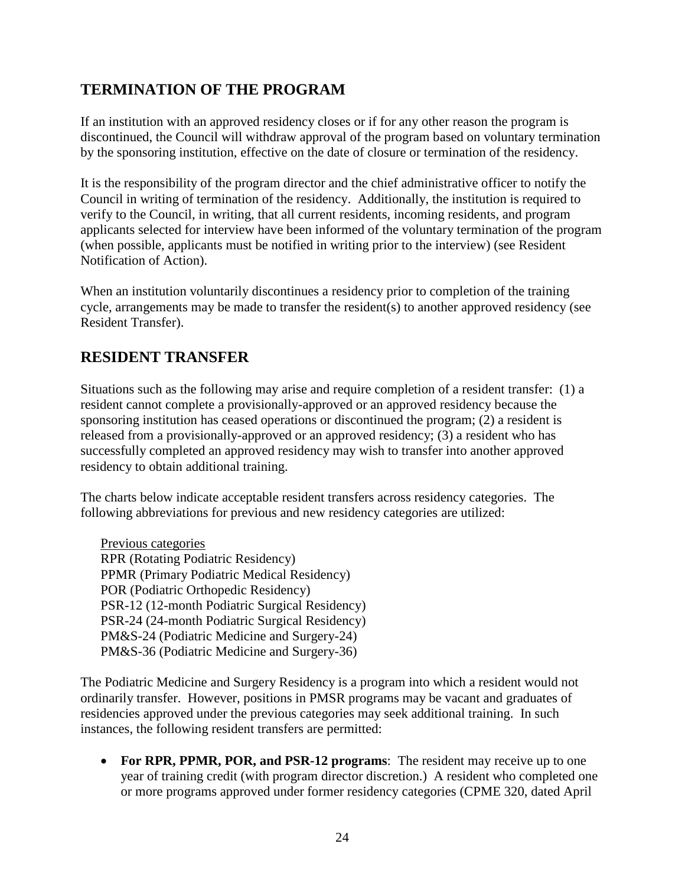## **TERMINATION OF THE PROGRAM**

If an institution with an approved residency closes or if for any other reason the program is discontinued, the Council will withdraw approval of the program based on voluntary termination by the sponsoring institution, effective on the date of closure or termination of the residency.

It is the responsibility of the program director and the chief administrative officer to notify the Council in writing of termination of the residency. Additionally, the institution is required to verify to the Council, in writing, that all current residents, incoming residents, and program applicants selected for interview have been informed of the voluntary termination of the program (when possible, applicants must be notified in writing prior to the interview) (see Resident Notification of Action).

When an institution voluntarily discontinues a residency prior to completion of the training cycle, arrangements may be made to transfer the resident(s) to another approved residency (see Resident Transfer).

## **RESIDENT TRANSFER**

Situations such as the following may arise and require completion of a resident transfer: (1) a resident cannot complete a provisionally-approved or an approved residency because the sponsoring institution has ceased operations or discontinued the program; (2) a resident is released from a provisionally-approved or an approved residency; (3) a resident who has successfully completed an approved residency may wish to transfer into another approved residency to obtain additional training.

The charts below indicate acceptable resident transfers across residency categories. The following abbreviations for previous and new residency categories are utilized:

Previous categories RPR (Rotating Podiatric Residency) PPMR (Primary Podiatric Medical Residency) POR (Podiatric Orthopedic Residency) PSR-12 (12-month Podiatric Surgical Residency) PSR-24 (24-month Podiatric Surgical Residency) PM&S-24 (Podiatric Medicine and Surgery-24) PM&S-36 (Podiatric Medicine and Surgery-36)

The Podiatric Medicine and Surgery Residency is a program into which a resident would not ordinarily transfer. However, positions in PMSR programs may be vacant and graduates of residencies approved under the previous categories may seek additional training. In such instances, the following resident transfers are permitted:

• **For RPR, PPMR, POR, and PSR-12 programs**: The resident may receive up to one year of training credit (with program director discretion.) A resident who completed one or more programs approved under former residency categories (CPME 320, dated April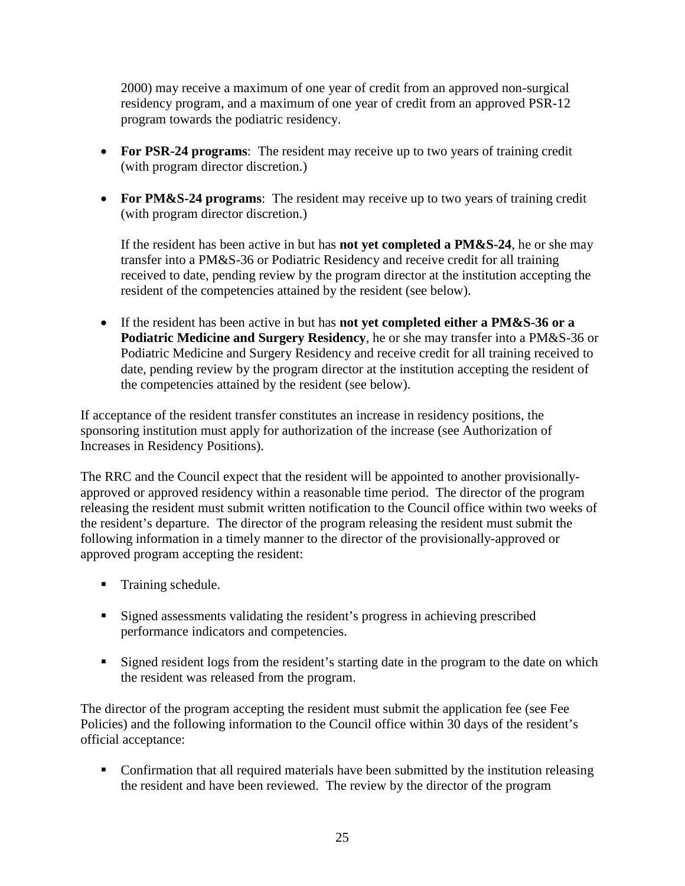2000) may receive a maximum of one year of credit from an approved non-surgical residency program, and a maximum of one year of credit from an approved PSR-12 program towards the podiatric residency.

- **For PSR-24 programs**: The resident may receive up to two years of training credit (with program director discretion.)
- **For PM&S-24 programs**: The resident may receive up to two years of training credit (with program director discretion.)

If the resident has been active in but has **not yet completed a PM&S-24**, he or she may transfer into a PM&S-36 or Podiatric Residency and receive credit for all training received to date, pending review by the program director at the institution accepting the resident of the competencies attained by the resident (see below).

• If the resident has been active in but has **not yet completed either a PM&S-36 or a Podiatric Medicine and Surgery Residency**, he or she may transfer into a PM&S-36 or Podiatric Medicine and Surgery Residency and receive credit for all training received to date, pending review by the program director at the institution accepting the resident of the competencies attained by the resident (see below).

If acceptance of the resident transfer constitutes an increase in residency positions, the sponsoring institution must apply for authorization of the increase (see Authorization of Increases in Residency Positions).

The RRC and the Council expect that the resident will be appointed to another provisionallyapproved or approved residency within a reasonable time period. The director of the program releasing the resident must submit written notification to the Council office within two weeks of the resident's departure. The director of the program releasing the resident must submit the following information in a timely manner to the director of the provisionally-approved or approved program accepting the resident:

- **Training schedule.**
- Signed assessments validating the resident's progress in achieving prescribed performance indicators and competencies.
- Signed resident logs from the resident's starting date in the program to the date on which the resident was released from the program.

The director of the program accepting the resident must submit the application fee (see Fee Policies) and the following information to the Council office within 30 days of the resident's official acceptance:

 Confirmation that all required materials have been submitted by the institution releasing the resident and have been reviewed. The review by the director of the program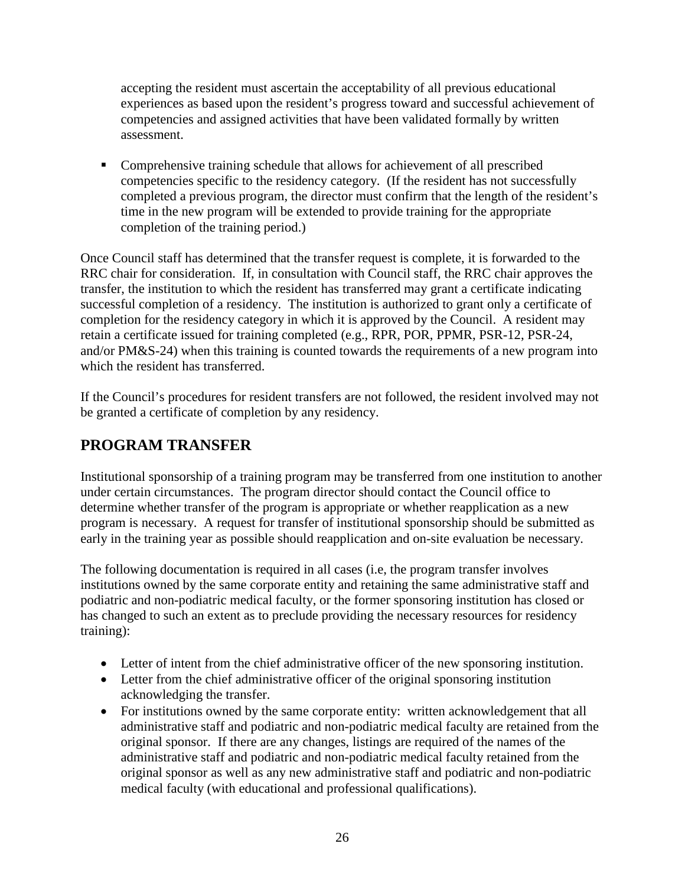accepting the resident must ascertain the acceptability of all previous educational experiences as based upon the resident's progress toward and successful achievement of competencies and assigned activities that have been validated formally by written assessment.

• Comprehensive training schedule that allows for achievement of all prescribed competencies specific to the residency category. (If the resident has not successfully completed a previous program, the director must confirm that the length of the resident's time in the new program will be extended to provide training for the appropriate completion of the training period.)

Once Council staff has determined that the transfer request is complete, it is forwarded to the RRC chair for consideration. If, in consultation with Council staff, the RRC chair approves the transfer, the institution to which the resident has transferred may grant a certificate indicating successful completion of a residency. The institution is authorized to grant only a certificate of completion for the residency category in which it is approved by the Council. A resident may retain a certificate issued for training completed (e.g., RPR, POR, PPMR, PSR-12, PSR-24, and/or PM&S-24) when this training is counted towards the requirements of a new program into which the resident has transferred.

If the Council's procedures for resident transfers are not followed, the resident involved may not be granted a certificate of completion by any residency.

# **PROGRAM TRANSFER**

Institutional sponsorship of a training program may be transferred from one institution to another under certain circumstances. The program director should contact the Council office to determine whether transfer of the program is appropriate or whether reapplication as a new program is necessary. A request for transfer of institutional sponsorship should be submitted as early in the training year as possible should reapplication and on-site evaluation be necessary.

The following documentation is required in all cases (i.e, the program transfer involves institutions owned by the same corporate entity and retaining the same administrative staff and podiatric and non-podiatric medical faculty, or the former sponsoring institution has closed or has changed to such an extent as to preclude providing the necessary resources for residency training):

- Letter of intent from the chief administrative officer of the new sponsoring institution.
- Letter from the chief administrative officer of the original sponsoring institution acknowledging the transfer.
- For institutions owned by the same corporate entity: written acknowledgement that all administrative staff and podiatric and non-podiatric medical faculty are retained from the original sponsor. If there are any changes, listings are required of the names of the administrative staff and podiatric and non-podiatric medical faculty retained from the original sponsor as well as any new administrative staff and podiatric and non-podiatric medical faculty (with educational and professional qualifications).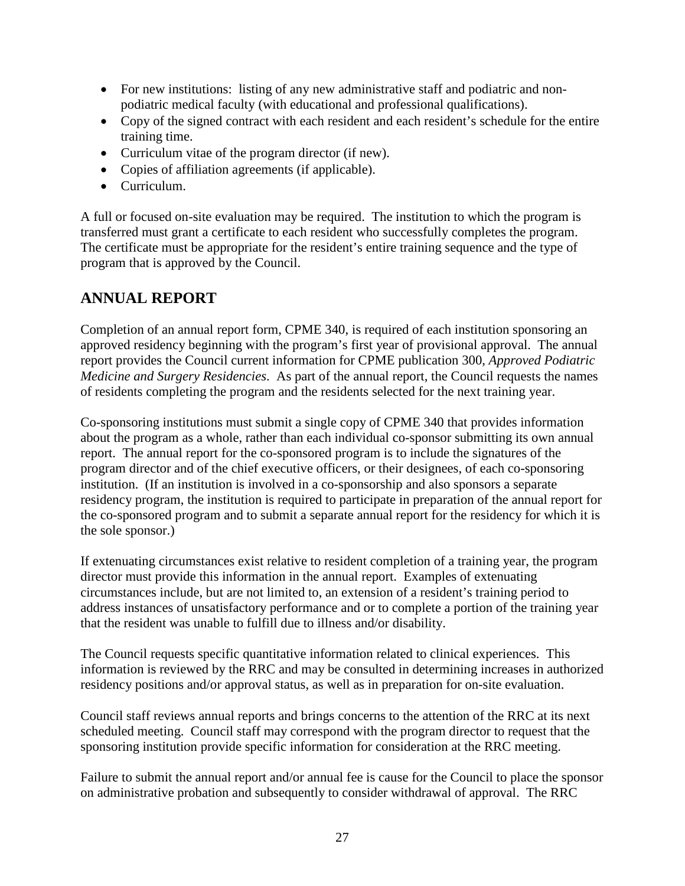- For new institutions: listing of any new administrative staff and podiatric and nonpodiatric medical faculty (with educational and professional qualifications).
- Copy of the signed contract with each resident and each resident's schedule for the entire training time.
- Curriculum vitae of the program director (if new).
- Copies of affiliation agreements (if applicable).
- Curriculum.

A full or focused on-site evaluation may be required. The institution to which the program is transferred must grant a certificate to each resident who successfully completes the program. The certificate must be appropriate for the resident's entire training sequence and the type of program that is approved by the Council.

#### **ANNUAL REPORT**

Completion of an annual report form, CPME 340, is required of each institution sponsoring an approved residency beginning with the program's first year of provisional approval. The annual report provides the Council current information for CPME publication 300, *Approved Podiatric Medicine and Surgery Residencies*. As part of the annual report, the Council requests the names of residents completing the program and the residents selected for the next training year.

Co-sponsoring institutions must submit a single copy of CPME 340 that provides information about the program as a whole, rather than each individual co-sponsor submitting its own annual report. The annual report for the co-sponsored program is to include the signatures of the program director and of the chief executive officers, or their designees, of each co-sponsoring institution. (If an institution is involved in a co-sponsorship and also sponsors a separate residency program, the institution is required to participate in preparation of the annual report for the co-sponsored program and to submit a separate annual report for the residency for which it is the sole sponsor.)

If extenuating circumstances exist relative to resident completion of a training year, the program director must provide this information in the annual report. Examples of extenuating circumstances include, but are not limited to, an extension of a resident's training period to address instances of unsatisfactory performance and or to complete a portion of the training year that the resident was unable to fulfill due to illness and/or disability.

The Council requests specific quantitative information related to clinical experiences. This information is reviewed by the RRC and may be consulted in determining increases in authorized residency positions and/or approval status, as well as in preparation for on-site evaluation.

Council staff reviews annual reports and brings concerns to the attention of the RRC at its next scheduled meeting. Council staff may correspond with the program director to request that the sponsoring institution provide specific information for consideration at the RRC meeting.

Failure to submit the annual report and/or annual fee is cause for the Council to place the sponsor on administrative probation and subsequently to consider withdrawal of approval. The RRC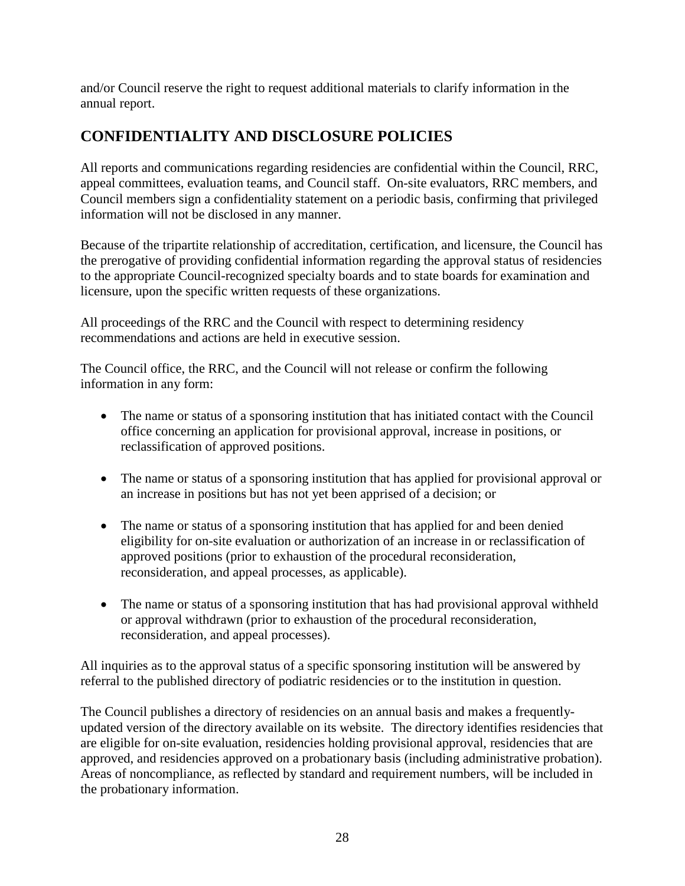and/or Council reserve the right to request additional materials to clarify information in the annual report.

# **CONFIDENTIALITY AND DISCLOSURE POLICIES**

All reports and communications regarding residencies are confidential within the Council, RRC, appeal committees, evaluation teams, and Council staff. On-site evaluators, RRC members, and Council members sign a confidentiality statement on a periodic basis, confirming that privileged information will not be disclosed in any manner.

Because of the tripartite relationship of accreditation, certification, and licensure, the Council has the prerogative of providing confidential information regarding the approval status of residencies to the appropriate Council-recognized specialty boards and to state boards for examination and licensure, upon the specific written requests of these organizations.

All proceedings of the RRC and the Council with respect to determining residency recommendations and actions are held in executive session.

The Council office, the RRC, and the Council will not release or confirm the following information in any form:

- The name or status of a sponsoring institution that has initiated contact with the Council office concerning an application for provisional approval, increase in positions, or reclassification of approved positions.
- The name or status of a sponsoring institution that has applied for provisional approval or an increase in positions but has not yet been apprised of a decision; or
- The name or status of a sponsoring institution that has applied for and been denied eligibility for on-site evaluation or authorization of an increase in or reclassification of approved positions (prior to exhaustion of the procedural reconsideration, reconsideration, and appeal processes, as applicable).
- The name or status of a sponsoring institution that has had provisional approval withheld or approval withdrawn (prior to exhaustion of the procedural reconsideration, reconsideration, and appeal processes).

All inquiries as to the approval status of a specific sponsoring institution will be answered by referral to the published directory of podiatric residencies or to the institution in question.

The Council publishes a directory of residencies on an annual basis and makes a frequentlyupdated version of the directory available on its website. The directory identifies residencies that are eligible for on-site evaluation, residencies holding provisional approval, residencies that are approved, and residencies approved on a probationary basis (including administrative probation). Areas of noncompliance, as reflected by standard and requirement numbers, will be included in the probationary information.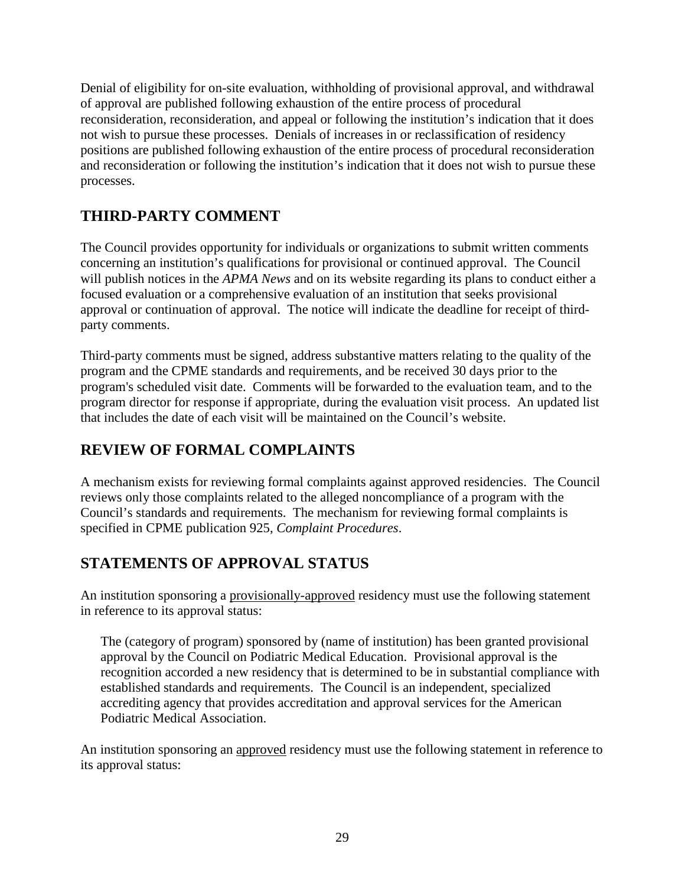Denial of eligibility for on-site evaluation, withholding of provisional approval, and withdrawal of approval are published following exhaustion of the entire process of procedural reconsideration, reconsideration, and appeal or following the institution's indication that it does not wish to pursue these processes. Denials of increases in or reclassification of residency positions are published following exhaustion of the entire process of procedural reconsideration and reconsideration or following the institution's indication that it does not wish to pursue these processes.

# **THIRD-PARTY COMMENT**

The Council provides opportunity for individuals or organizations to submit written comments concerning an institution's qualifications for provisional or continued approval. The Council will publish notices in the *APMA News* and on its website regarding its plans to conduct either a focused evaluation or a comprehensive evaluation of an institution that seeks provisional approval or continuation of approval. The notice will indicate the deadline for receipt of thirdparty comments.

Third-party comments must be signed, address substantive matters relating to the quality of the program and the CPME standards and requirements, and be received 30 days prior to the program's scheduled visit date. Comments will be forwarded to the evaluation team, and to the program director for response if appropriate, during the evaluation visit process. An updated list that includes the date of each visit will be maintained on the Council's website.

# **REVIEW OF FORMAL COMPLAINTS**

A mechanism exists for reviewing formal complaints against approved residencies. The Council reviews only those complaints related to the alleged noncompliance of a program with the Council's standards and requirements. The mechanism for reviewing formal complaints is specified in CPME publication 925, *Complaint Procedures*.

## **STATEMENTS OF APPROVAL STATUS**

An institution sponsoring a provisionally-approved residency must use the following statement in reference to its approval status:

The (category of program) sponsored by (name of institution) has been granted provisional approval by the Council on Podiatric Medical Education. Provisional approval is the recognition accorded a new residency that is determined to be in substantial compliance with established standards and requirements. The Council is an independent, specialized accrediting agency that provides accreditation and approval services for the American Podiatric Medical Association.

An institution sponsoring an approved residency must use the following statement in reference to its approval status: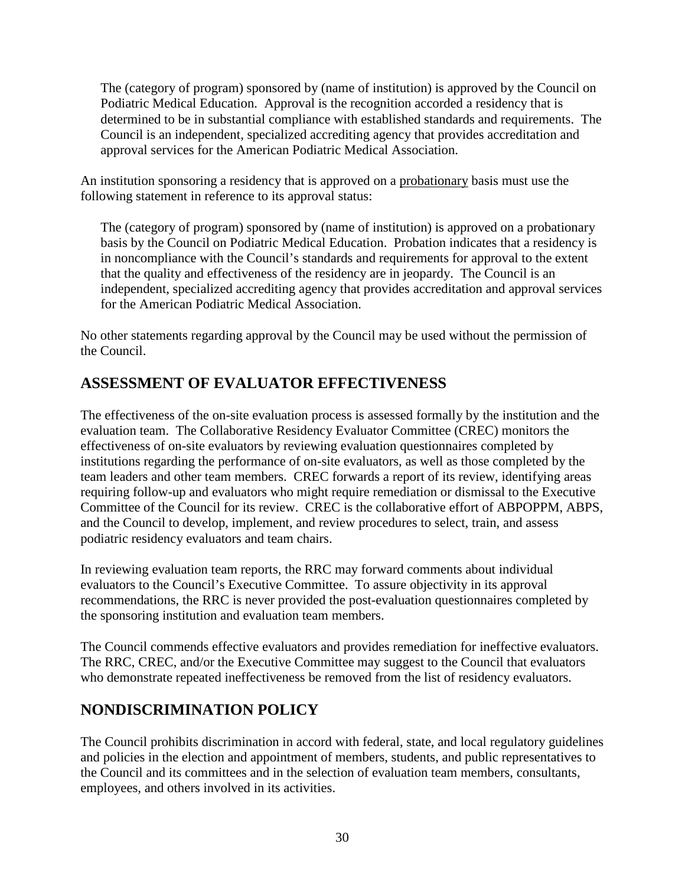The (category of program) sponsored by (name of institution) is approved by the Council on Podiatric Medical Education. Approval is the recognition accorded a residency that is determined to be in substantial compliance with established standards and requirements. The Council is an independent, specialized accrediting agency that provides accreditation and approval services for the American Podiatric Medical Association.

An institution sponsoring a residency that is approved on a probationary basis must use the following statement in reference to its approval status:

The (category of program) sponsored by (name of institution) is approved on a probationary basis by the Council on Podiatric Medical Education. Probation indicates that a residency is in noncompliance with the Council's standards and requirements for approval to the extent that the quality and effectiveness of the residency are in jeopardy. The Council is an independent, specialized accrediting agency that provides accreditation and approval services for the American Podiatric Medical Association.

No other statements regarding approval by the Council may be used without the permission of the Council.

# **ASSESSMENT OF EVALUATOR EFFECTIVENESS**

The effectiveness of the on-site evaluation process is assessed formally by the institution and the evaluation team. The Collaborative Residency Evaluator Committee (CREC) monitors the effectiveness of on-site evaluators by reviewing evaluation questionnaires completed by institutions regarding the performance of on-site evaluators, as well as those completed by the team leaders and other team members. CREC forwards a report of its review, identifying areas requiring follow-up and evaluators who might require remediation or dismissal to the Executive Committee of the Council for its review. CREC is the collaborative effort of ABPOPPM, ABPS, and the Council to develop, implement, and review procedures to select, train, and assess podiatric residency evaluators and team chairs.

In reviewing evaluation team reports, the RRC may forward comments about individual evaluators to the Council's Executive Committee. To assure objectivity in its approval recommendations, the RRC is never provided the post-evaluation questionnaires completed by the sponsoring institution and evaluation team members.

The Council commends effective evaluators and provides remediation for ineffective evaluators. The RRC, CREC, and/or the Executive Committee may suggest to the Council that evaluators who demonstrate repeated ineffectiveness be removed from the list of residency evaluators.

## **NONDISCRIMINATION POLICY**

The Council prohibits discrimination in accord with federal, state, and local regulatory guidelines and policies in the election and appointment of members, students, and public representatives to the Council and its committees and in the selection of evaluation team members, consultants, employees, and others involved in its activities.